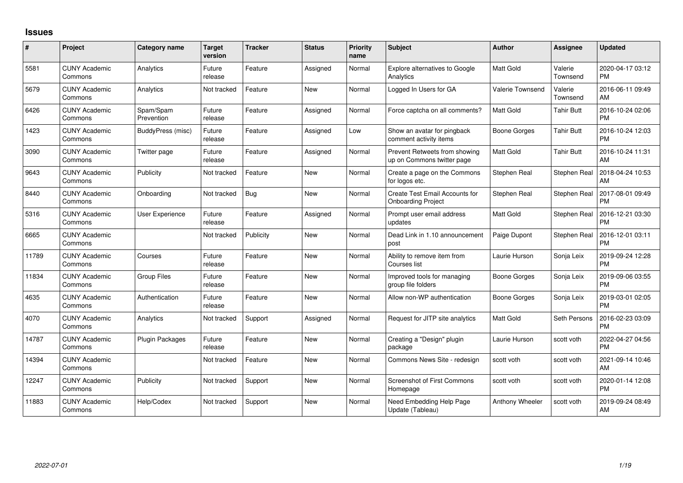## **Issues**

| #     | Project                         | <b>Category name</b>    | <b>Target</b><br>version | <b>Tracker</b> | <b>Status</b> | <b>Priority</b><br>name | Subject                                                     | <b>Author</b>    | <b>Assignee</b>     | <b>Updated</b>                |
|-------|---------------------------------|-------------------------|--------------------------|----------------|---------------|-------------------------|-------------------------------------------------------------|------------------|---------------------|-------------------------------|
| 5581  | <b>CUNY Academic</b><br>Commons | Analytics               | Future<br>release        | Feature        | Assigned      | Normal                  | Explore alternatives to Google<br>Analytics                 | Matt Gold        | Valerie<br>Townsend | 2020-04-17 03:12<br><b>PM</b> |
| 5679  | <b>CUNY Academic</b><br>Commons | Analytics               | Not tracked              | Feature        | New           | Normal                  | Logged In Users for GA                                      | Valerie Townsend | Valerie<br>Townsend | 2016-06-11 09:49<br>AM        |
| 6426  | <b>CUNY Academic</b><br>Commons | Spam/Spam<br>Prevention | Future<br>release        | Feature        | Assigned      | Normal                  | Force captcha on all comments?                              | Matt Gold        | Tahir Butt          | 2016-10-24 02:06<br><b>PM</b> |
| 1423  | <b>CUNY Academic</b><br>Commons | BuddyPress (misc)       | Future<br>release        | Feature        | Assigned      | Low                     | Show an avatar for pingback<br>comment activity items       | Boone Gorges     | <b>Tahir Butt</b>   | 2016-10-24 12:03<br><b>PM</b> |
| 3090  | <b>CUNY Academic</b><br>Commons | Twitter page            | Future<br>release        | Feature        | Assigned      | Normal                  | Prevent Retweets from showing<br>up on Commons twitter page | Matt Gold        | <b>Tahir Butt</b>   | 2016-10-24 11:31<br>AM        |
| 9643  | <b>CUNY Academic</b><br>Commons | Publicity               | Not tracked              | Feature        | <b>New</b>    | Normal                  | Create a page on the Commons<br>for logos etc.              | Stephen Real     | Stephen Real        | 2018-04-24 10:53<br>AM        |
| 8440  | <b>CUNY Academic</b><br>Commons | Onboarding              | Not tracked              | Bug            | <b>New</b>    | Normal                  | Create Test Email Accounts for<br><b>Onboarding Project</b> | Stephen Real     | Stephen Real        | 2017-08-01 09:49<br><b>PM</b> |
| 5316  | <b>CUNY Academic</b><br>Commons | <b>User Experience</b>  | Future<br>release        | Feature        | Assigned      | Normal                  | Prompt user email address<br>updates                        | <b>Matt Gold</b> | Stephen Real        | 2016-12-21 03:30<br><b>PM</b> |
| 6665  | <b>CUNY Academic</b><br>Commons |                         | Not tracked              | Publicity      | New           | Normal                  | Dead Link in 1.10 announcement<br>post                      | Paige Dupont     | Stephen Real        | 2016-12-01 03:11<br><b>PM</b> |
| 11789 | <b>CUNY Academic</b><br>Commons | Courses                 | Future<br>release        | Feature        | New           | Normal                  | Ability to remove item from<br>Courses list                 | Laurie Hurson    | Sonja Leix          | 2019-09-24 12:28<br><b>PM</b> |
| 11834 | <b>CUNY Academic</b><br>Commons | <b>Group Files</b>      | Future<br>release        | Feature        | New           | Normal                  | Improved tools for managing<br>group file folders           | Boone Gorges     | Sonja Leix          | 2019-09-06 03:55<br><b>PM</b> |
| 4635  | <b>CUNY Academic</b><br>Commons | Authentication          | Future<br>release        | Feature        | <b>New</b>    | Normal                  | Allow non-WP authentication                                 | Boone Gorges     | Sonja Leix          | 2019-03-01 02:05<br><b>PM</b> |
| 4070  | <b>CUNY Academic</b><br>Commons | Analytics               | Not tracked              | Support        | Assigned      | Normal                  | Request for JITP site analytics                             | <b>Matt Gold</b> | Seth Persons        | 2016-02-23 03:09<br><b>PM</b> |
| 14787 | <b>CUNY Academic</b><br>Commons | Plugin Packages         | Future<br>release        | Feature        | <b>New</b>    | Normal                  | Creating a "Design" plugin<br>package                       | Laurie Hurson    | scott voth          | 2022-04-27 04:56<br><b>PM</b> |
| 14394 | <b>CUNY Academic</b><br>Commons |                         | Not tracked              | Feature        | <b>New</b>    | Normal                  | Commons News Site - redesign                                | scott voth       | scott voth          | 2021-09-14 10:46<br>AM        |
| 12247 | <b>CUNY Academic</b><br>Commons | Publicity               | Not tracked              | Support        | New           | Normal                  | <b>Screenshot of First Commons</b><br>Homepage              | scott voth       | scott voth          | 2020-01-14 12:08<br><b>PM</b> |
| 11883 | <b>CUNY Academic</b><br>Commons | Help/Codex              | Not tracked              | Support        | <b>New</b>    | Normal                  | Need Embedding Help Page<br>Update (Tableau)                | Anthony Wheeler  | scott voth          | 2019-09-24 08:49<br>AM        |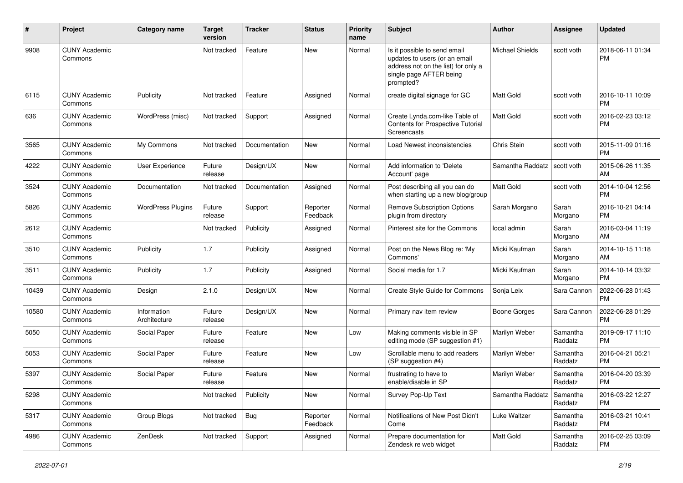| #     | Project                         | Category name               | <b>Target</b><br>version | <b>Tracker</b> | <b>Status</b>        | <b>Priority</b><br>name | Subject                                                                                                                                      | Author           | Assignee            | <b>Updated</b>                |
|-------|---------------------------------|-----------------------------|--------------------------|----------------|----------------------|-------------------------|----------------------------------------------------------------------------------------------------------------------------------------------|------------------|---------------------|-------------------------------|
| 9908  | <b>CUNY Academic</b><br>Commons |                             | Not tracked              | Feature        | <b>New</b>           | Normal                  | Is it possible to send email<br>updates to users (or an email<br>address not on the list) for only a<br>single page AFTER being<br>prompted? | Michael Shields  | scott voth          | 2018-06-11 01:34<br><b>PM</b> |
| 6115  | <b>CUNY Academic</b><br>Commons | Publicity                   | Not tracked              | Feature        | Assigned             | Normal                  | create digital signage for GC                                                                                                                | <b>Matt Gold</b> | scott voth          | 2016-10-11 10:09<br><b>PM</b> |
| 636   | <b>CUNY Academic</b><br>Commons | WordPress (misc)            | Not tracked              | Support        | Assigned             | Normal                  | Create Lynda.com-like Table of<br>Contents for Prospective Tutorial<br>Screencasts                                                           | Matt Gold        | scott voth          | 2016-02-23 03:12<br><b>PM</b> |
| 3565  | <b>CUNY Academic</b><br>Commons | My Commons                  | Not tracked              | Documentation  | <b>New</b>           | Normal                  | <b>Load Newest inconsistencies</b>                                                                                                           | Chris Stein      | scott voth          | 2015-11-09 01:16<br><b>PM</b> |
| 4222  | <b>CUNY Academic</b><br>Commons | <b>User Experience</b>      | Future<br>release        | Design/UX      | <b>New</b>           | Normal                  | Add information to 'Delete<br>Account' page                                                                                                  | Samantha Raddatz | scott voth          | 2015-06-26 11:35<br>AM        |
| 3524  | <b>CUNY Academic</b><br>Commons | Documentation               | Not tracked              | Documentation  | Assigned             | Normal                  | Post describing all you can do<br>when starting up a new blog/group                                                                          | Matt Gold        | scott voth          | 2014-10-04 12:56<br><b>PM</b> |
| 5826  | <b>CUNY Academic</b><br>Commons | <b>WordPress Plugins</b>    | Future<br>release        | Support        | Reporter<br>Feedback | Normal                  | Remove Subscription Options<br>plugin from directory                                                                                         | Sarah Morgano    | Sarah<br>Morgano    | 2016-10-21 04:14<br><b>PM</b> |
| 2612  | <b>CUNY Academic</b><br>Commons |                             | Not tracked              | Publicity      | Assigned             | Normal                  | Pinterest site for the Commons                                                                                                               | local admin      | Sarah<br>Morgano    | 2016-03-04 11:19<br>AM        |
| 3510  | <b>CUNY Academic</b><br>Commons | Publicity                   | 1.7                      | Publicity      | Assigned             | Normal                  | Post on the News Blog re: 'My<br>Commons'                                                                                                    | Micki Kaufman    | Sarah<br>Morgano    | 2014-10-15 11:18<br>AM        |
| 3511  | <b>CUNY Academic</b><br>Commons | Publicity                   | 1.7                      | Publicity      | Assigned             | Normal                  | Social media for 1.7                                                                                                                         | Micki Kaufman    | Sarah<br>Morgano    | 2014-10-14 03:32<br><b>PM</b> |
| 10439 | <b>CUNY Academic</b><br>Commons | Design                      | 2.1.0                    | Design/UX      | <b>New</b>           | Normal                  | Create Style Guide for Commons                                                                                                               | Sonja Leix       | Sara Cannon         | 2022-06-28 01:43<br>РM        |
| 10580 | <b>CUNY Academic</b><br>Commons | Information<br>Architecture | Future<br>release        | Design/UX      | <b>New</b>           | Normal                  | Primary nav item review                                                                                                                      | Boone Gorges     | Sara Cannon         | 2022-06-28 01:29<br>РM        |
| 5050  | <b>CUNY Academic</b><br>Commons | Social Paper                | Future<br>release        | Feature        | <b>New</b>           | Low                     | Making comments visible in SP<br>editing mode (SP suggestion #1)                                                                             | Marilyn Weber    | Samantha<br>Raddatz | 2019-09-17 11:10<br><b>PM</b> |
| 5053  | <b>CUNY Academic</b><br>Commons | Social Paper                | Future<br>release        | Feature        | New                  | Low                     | Scrollable menu to add readers<br>(SP suggestion #4)                                                                                         | Marilyn Weber    | Samantha<br>Raddatz | 2016-04-21 05:21<br><b>PM</b> |
| 5397  | <b>CUNY Academic</b><br>Commons | Social Paper                | Future<br>release        | Feature        | <b>New</b>           | Normal                  | frustrating to have to<br>enable/disable in SP                                                                                               | Marilyn Weber    | Samantha<br>Raddatz | 2016-04-20 03:39<br><b>PM</b> |
| 5298  | <b>CUNY Academic</b><br>Commons |                             | Not tracked              | Publicity      | New                  | Normal                  | Survey Pop-Up Text                                                                                                                           | Samantha Raddatz | Samantha<br>Raddatz | 2016-03-22 12:27<br>PM        |
| 5317  | <b>CUNY Academic</b><br>Commons | Group Blogs                 | Not tracked              | <b>Bug</b>     | Reporter<br>Feedback | Normal                  | Notifications of New Post Didn't<br>Come                                                                                                     | Luke Waltzer     | Samantha<br>Raddatz | 2016-03-21 10:41<br>PM        |
| 4986  | <b>CUNY Academic</b><br>Commons | ZenDesk                     | Not tracked              | Support        | Assigned             | Normal                  | Prepare documentation for<br>Zendesk re web widget                                                                                           | Matt Gold        | Samantha<br>Raddatz | 2016-02-25 03:09<br>PM        |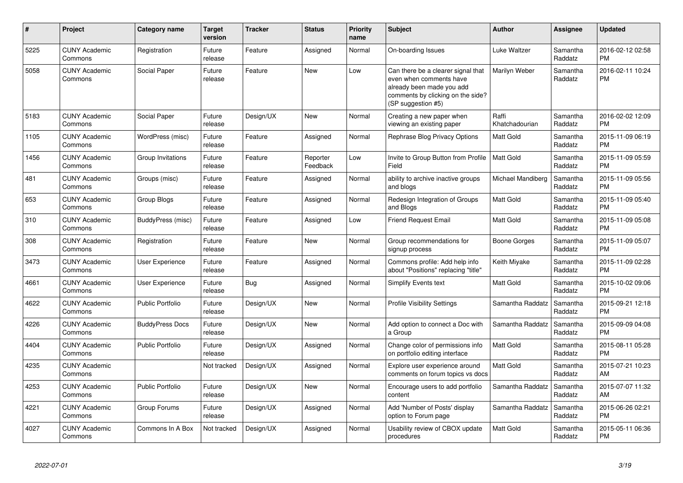| #    | <b>Project</b>                  | Category name           | <b>Target</b><br>version | <b>Tracker</b> | <b>Status</b>        | <b>Priority</b><br>name | <b>Subject</b>                                                                                                                                        | <b>Author</b>           | <b>Assignee</b>     | <b>Updated</b>                |
|------|---------------------------------|-------------------------|--------------------------|----------------|----------------------|-------------------------|-------------------------------------------------------------------------------------------------------------------------------------------------------|-------------------------|---------------------|-------------------------------|
| 5225 | <b>CUNY Academic</b><br>Commons | Registration            | Future<br>release        | Feature        | Assigned             | Normal                  | On-boarding Issues                                                                                                                                    | Luke Waltzer            | Samantha<br>Raddatz | 2016-02-12 02:58<br><b>PM</b> |
| 5058 | <b>CUNY Academic</b><br>Commons | Social Paper            | Future<br>release        | Feature        | <b>New</b>           | Low                     | Can there be a clearer signal that<br>even when comments have<br>already been made you add<br>comments by clicking on the side?<br>(SP suggestion #5) | Marilyn Weber           | Samantha<br>Raddatz | 2016-02-11 10:24<br><b>PM</b> |
| 5183 | <b>CUNY Academic</b><br>Commons | Social Paper            | Future<br>release        | Design/UX      | <b>New</b>           | Normal                  | Creating a new paper when<br>viewing an existing paper                                                                                                | Raffi<br>Khatchadourian | Samantha<br>Raddatz | 2016-02-02 12:09<br><b>PM</b> |
| 1105 | <b>CUNY Academic</b><br>Commons | WordPress (misc)        | Future<br>release        | Feature        | Assigned             | Normal                  | Rephrase Blog Privacy Options                                                                                                                         | <b>Matt Gold</b>        | Samantha<br>Raddatz | 2015-11-09 06:19<br><b>PM</b> |
| 1456 | <b>CUNY Academic</b><br>Commons | Group Invitations       | Future<br>release        | Feature        | Reporter<br>Feedback | Low                     | Invite to Group Button from Profile<br>Field                                                                                                          | <b>Matt Gold</b>        | Samantha<br>Raddatz | 2015-11-09 05:59<br><b>PM</b> |
| 481  | <b>CUNY Academic</b><br>Commons | Groups (misc)           | Future<br>release        | Feature        | Assigned             | Normal                  | ability to archive inactive groups<br>and blogs                                                                                                       | Michael Mandiberg       | Samantha<br>Raddatz | 2015-11-09 05:56<br><b>PM</b> |
| 653  | <b>CUNY Academic</b><br>Commons | Group Blogs             | Future<br>release        | Feature        | Assigned             | Normal                  | Redesign Integration of Groups<br>and Blogs                                                                                                           | <b>Matt Gold</b>        | Samantha<br>Raddatz | 2015-11-09 05:40<br><b>PM</b> |
| 310  | <b>CUNY Academic</b><br>Commons | BuddyPress (misc)       | Future<br>release        | Feature        | Assigned             | Low                     | <b>Friend Request Email</b>                                                                                                                           | <b>Matt Gold</b>        | Samantha<br>Raddatz | 2015-11-09 05:08<br><b>PM</b> |
| 308  | <b>CUNY Academic</b><br>Commons | Registration            | Future<br>release        | Feature        | <b>New</b>           | Normal                  | Group recommendations for<br>signup process                                                                                                           | Boone Gorges            | Samantha<br>Raddatz | 2015-11-09 05:07<br><b>PM</b> |
| 3473 | <b>CUNY Academic</b><br>Commons | User Experience         | Future<br>release        | Feature        | Assigned             | Normal                  | Commons profile: Add help info<br>about "Positions" replacing "title"                                                                                 | Keith Miyake            | Samantha<br>Raddatz | 2015-11-09 02:28<br><b>PM</b> |
| 4661 | <b>CUNY Academic</b><br>Commons | User Experience         | Future<br>release        | Bug            | Assigned             | Normal                  | Simplify Events text                                                                                                                                  | <b>Matt Gold</b>        | Samantha<br>Raddatz | 2015-10-02 09:06<br><b>PM</b> |
| 4622 | <b>CUNY Academic</b><br>Commons | <b>Public Portfolio</b> | Future<br>release        | Design/UX      | <b>New</b>           | Normal                  | <b>Profile Visibility Settings</b>                                                                                                                    | Samantha Raddatz        | Samantha<br>Raddatz | 2015-09-21 12:18<br><b>PM</b> |
| 4226 | <b>CUNY Academic</b><br>Commons | <b>BuddyPress Docs</b>  | Future<br>release        | Design/UX      | <b>New</b>           | Normal                  | Add option to connect a Doc with<br>a Group                                                                                                           | Samantha Raddatz        | Samantha<br>Raddatz | 2015-09-09 04:08<br><b>PM</b> |
| 4404 | <b>CUNY Academic</b><br>Commons | Public Portfolio        | Future<br>release        | Design/UX      | Assigned             | Normal                  | Change color of permissions info<br>on portfolio editing interface                                                                                    | <b>Matt Gold</b>        | Samantha<br>Raddatz | 2015-08-11 05:28<br><b>PM</b> |
| 4235 | <b>CUNY Academic</b><br>Commons |                         | Not tracked              | Design/UX      | Assigned             | Normal                  | Explore user experience around<br>comments on forum topics vs docs                                                                                    | <b>Matt Gold</b>        | Samantha<br>Raddatz | 2015-07-21 10:23<br>AM        |
| 4253 | <b>CUNY Academic</b><br>Commons | <b>Public Portfolio</b> | Future<br>release        | Design/UX      | <b>New</b>           | Normal                  | Encourage users to add portfolio<br>content                                                                                                           | Samantha Raddatz        | Samantha<br>Raddatz | 2015-07-07 11:32<br>AM        |
| 4221 | <b>CUNY Academic</b><br>Commons | Group Forums            | Future<br>release        | Design/UX      | Assigned             | Normal                  | Add 'Number of Posts' display<br>option to Forum page                                                                                                 | Samantha Raddatz        | Samantha<br>Raddatz | 2015-06-26 02:21<br><b>PM</b> |
| 4027 | <b>CUNY Academic</b><br>Commons | Commons In A Box        | Not tracked              | Design/UX      | Assigned             | Normal                  | Usability review of CBOX update<br>procedures                                                                                                         | <b>Matt Gold</b>        | Samantha<br>Raddatz | 2015-05-11 06:36<br><b>PM</b> |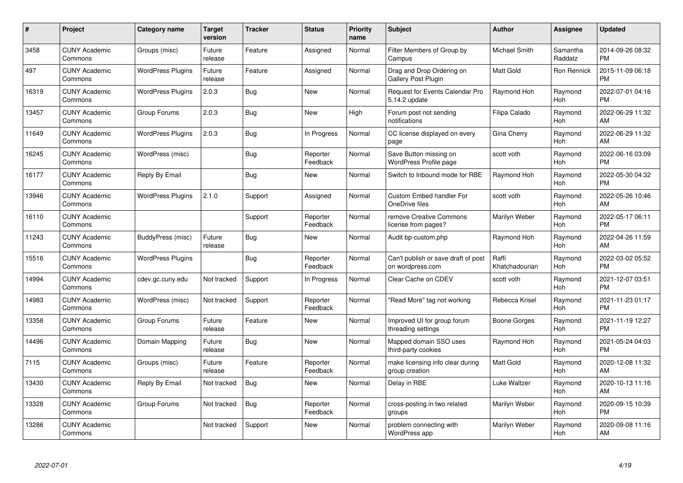| $\#$  | Project                         | <b>Category name</b>     | Target<br>version | <b>Tracker</b> | <b>Status</b>        | Priority<br>name | <b>Subject</b>                                          | <b>Author</b>           | <b>Assignee</b>     | <b>Updated</b>                |
|-------|---------------------------------|--------------------------|-------------------|----------------|----------------------|------------------|---------------------------------------------------------|-------------------------|---------------------|-------------------------------|
| 3458  | <b>CUNY Academic</b><br>Commons | Groups (misc)            | Future<br>release | Feature        | Assigned             | Normal           | Filter Members of Group by<br>Campus                    | <b>Michael Smith</b>    | Samantha<br>Raddatz | 2014-09-26 08:32<br><b>PM</b> |
| 497   | <b>CUNY Academic</b><br>Commons | <b>WordPress Plugins</b> | Future<br>release | Feature        | Assigned             | Normal           | Drag and Drop Ordering on<br><b>Gallery Post Plugin</b> | <b>Matt Gold</b>        | Ron Rennick         | 2015-11-09 06:18<br><b>PM</b> |
| 16319 | <b>CUNY Academic</b><br>Commons | <b>WordPress Plugins</b> | 2.0.3             | <b>Bug</b>     | <b>New</b>           | Normal           | Request for Events Calendar Pro<br>5.14.2 update        | Raymond Hoh             | Raymond<br>Hoh      | 2022-07-01 04:16<br><b>PM</b> |
| 13457 | <b>CUNY Academic</b><br>Commons | Group Forums             | 2.0.3             | <b>Bug</b>     | <b>New</b>           | High             | Forum post not sending<br>notifications                 | Filipa Calado           | Raymond<br>Hoh      | 2022-06-29 11:32<br>AM        |
| 11649 | <b>CUNY Academic</b><br>Commons | <b>WordPress Plugins</b> | 2.0.3             | <b>Bug</b>     | In Progress          | Normal           | CC license displayed on every<br>page                   | Gina Cherry             | Raymond<br>Hoh      | 2022-06-29 11:32<br>AM        |
| 16245 | <b>CUNY Academic</b><br>Commons | WordPress (misc)         |                   | <b>Bug</b>     | Reporter<br>Feedback | Normal           | Save Button missing on<br><b>WordPress Profile page</b> | scott voth              | Raymond<br>Hoh      | 2022-06-16 03:09<br><b>PM</b> |
| 16177 | <b>CUNY Academic</b><br>Commons | Reply By Email           |                   | Bug            | <b>New</b>           | Normal           | Switch to Inbound mode for RBE                          | Raymond Hoh             | Raymond<br>Hoh      | 2022-05-30 04:32<br><b>PM</b> |
| 13946 | <b>CUNY Academic</b><br>Commons | <b>WordPress Plugins</b> | 2.1.0             | Support        | Assigned             | Normal           | <b>Custom Embed handler For</b><br>OneDrive files       | scott voth              | Raymond<br>Hoh      | 2022-05-26 10:46<br>AM        |
| 16110 | <b>CUNY Academic</b><br>Commons |                          |                   | Support        | Reporter<br>Feedback | Normal           | remove Creative Commons<br>license from pages?          | Marilyn Weber           | Raymond<br>Hoh      | 2022-05-17 06:11<br><b>PM</b> |
| 11243 | <b>CUNY Academic</b><br>Commons | BuddyPress (misc)        | Future<br>release | <b>Bug</b>     | <b>New</b>           | Normal           | Audit bp-custom.php                                     | Raymond Hoh             | Raymond<br>Hoh      | 2022-04-26 11:59<br>AM        |
| 15516 | <b>CUNY Academic</b><br>Commons | <b>WordPress Plugins</b> |                   | Bug            | Reporter<br>Feedback | Normal           | Can't publish or save draft of post<br>on wordpress.com | Raffi<br>Khatchadourian | Raymond<br>Hoh      | 2022-03-02 05:52<br><b>PM</b> |
| 14994 | <b>CUNY Academic</b><br>Commons | cdev.gc.cuny.edu         | Not tracked       | Support        | In Progress          | Normal           | Clear Cache on CDEV                                     | scott voth              | Raymond<br>Hoh      | 2021-12-07 03:51<br><b>PM</b> |
| 14983 | <b>CUNY Academic</b><br>Commons | WordPress (misc)         | Not tracked       | Support        | Reporter<br>Feedback | Normal           | "Read More" tag not working                             | Rebecca Krisel          | Raymond<br>Hoh      | 2021-11-23 01:17<br><b>PM</b> |
| 13358 | <b>CUNY Academic</b><br>Commons | Group Forums             | Future<br>release | Feature        | New                  | Normal           | Improved UI for group forum<br>threading settings       | Boone Gorges            | Raymond<br>Hoh      | 2021-11-19 12:27<br><b>PM</b> |
| 14496 | <b>CUNY Academic</b><br>Commons | Domain Mapping           | Future<br>release | Bug            | New                  | Normal           | Mapped domain SSO uses<br>third-party cookies           | Raymond Hoh             | Raymond<br>Hoh      | 2021-05-24 04:03<br><b>PM</b> |
| 7115  | <b>CUNY Academic</b><br>Commons | Groups (misc)            | Future<br>release | Feature        | Reporter<br>Feedback | Normal           | make licensing info clear during<br>group creation      | Matt Gold               | Raymond<br>Hoh      | 2020-12-08 11:32<br>AM        |
| 13430 | <b>CUNY Academic</b><br>Commons | Reply By Email           | Not tracked       | Bug            | New                  | Normal           | Delay in RBE                                            | Luke Waltzer            | Raymond<br>Hoh      | 2020-10-13 11:16<br>AM        |
| 13328 | <b>CUNY Academic</b><br>Commons | Group Forums             | Not tracked       | Bug            | Reporter<br>Feedback | Normal           | cross-posting in two related<br>groups                  | Marilyn Weber           | Raymond<br>Hoh      | 2020-09-15 10:39<br><b>PM</b> |
| 13286 | <b>CUNY Academic</b><br>Commons |                          | Not tracked       | Support        | <b>New</b>           | Normal           | problem connecting with<br>WordPress app                | Marilyn Weber           | Raymond<br>Hoh      | 2020-09-08 11:16<br>AM        |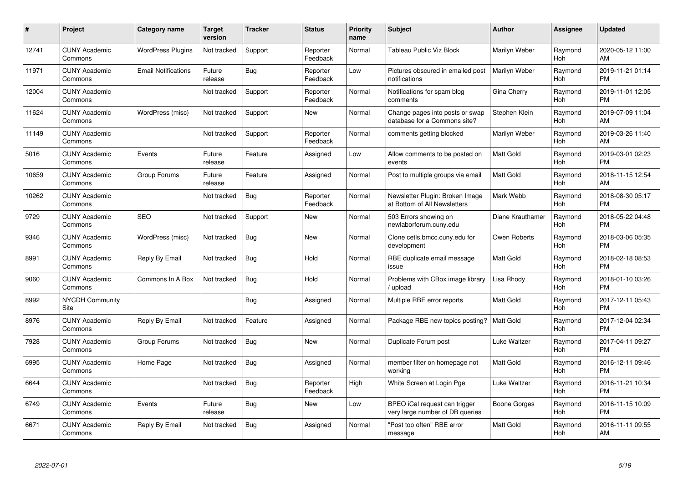| #     | <b>Project</b>                  | Category name              | <b>Target</b><br>version | <b>Tracker</b> | <b>Status</b>        | <b>Priority</b><br>name | <b>Subject</b>                                                   | <b>Author</b>    | Assignee       | <b>Updated</b>                |
|-------|---------------------------------|----------------------------|--------------------------|----------------|----------------------|-------------------------|------------------------------------------------------------------|------------------|----------------|-------------------------------|
| 12741 | <b>CUNY Academic</b><br>Commons | <b>WordPress Plugins</b>   | Not tracked              | Support        | Reporter<br>Feedback | Normal                  | Tableau Public Viz Block                                         | Marilyn Weber    | Raymond<br>Hoh | 2020-05-12 11:00<br>AM        |
| 11971 | <b>CUNY Academic</b><br>Commons | <b>Email Notifications</b> | Future<br>release        | Bug            | Reporter<br>Feedback | Low                     | Pictures obscured in emailed post<br>notifications               | Marilyn Weber    | Raymond<br>Hoh | 2019-11-21 01:14<br><b>PM</b> |
| 12004 | <b>CUNY Academic</b><br>Commons |                            | Not tracked              | Support        | Reporter<br>Feedback | Normal                  | Notifications for spam blog<br>comments                          | Gina Cherry      | Raymond<br>Hoh | 2019-11-01 12:05<br><b>PM</b> |
| 11624 | <b>CUNY Academic</b><br>Commons | WordPress (misc)           | Not tracked              | Support        | New                  | Normal                  | Change pages into posts or swap<br>database for a Commons site?  | Stephen Klein    | Raymond<br>Hoh | 2019-07-09 11:04<br>AM        |
| 11149 | <b>CUNY Academic</b><br>Commons |                            | Not tracked              | Support        | Reporter<br>Feedback | Normal                  | comments getting blocked                                         | Marilyn Weber    | Raymond<br>Hoh | 2019-03-26 11:40<br>AM        |
| 5016  | <b>CUNY Academic</b><br>Commons | Events                     | Future<br>release        | Feature        | Assigned             | Low                     | Allow comments to be posted on<br>events                         | <b>Matt Gold</b> | Raymond<br>Hoh | 2019-03-01 02:23<br><b>PM</b> |
| 10659 | <b>CUNY Academic</b><br>Commons | Group Forums               | Future<br>release        | Feature        | Assigned             | Normal                  | Post to multiple groups via email                                | <b>Matt Gold</b> | Raymond<br>Hoh | 2018-11-15 12:54<br>AM        |
| 10262 | <b>CUNY Academic</b><br>Commons |                            | Not tracked              | <b>Bug</b>     | Reporter<br>Feedback | Normal                  | Newsletter Plugin: Broken Image<br>at Bottom of All Newsletters  | Mark Webb        | Raymond<br>Hoh | 2018-08-30 05:17<br><b>PM</b> |
| 9729  | <b>CUNY Academic</b><br>Commons | <b>SEO</b>                 | Not tracked              | Support        | <b>New</b>           | Normal                  | 503 Errors showing on<br>newlaborforum.cuny.edu                  | Diane Krauthamer | Raymond<br>Hoh | 2018-05-22 04:48<br><b>PM</b> |
| 9346  | <b>CUNY Academic</b><br>Commons | WordPress (misc)           | Not tracked              | Bug            | <b>New</b>           | Normal                  | Clone cetls.bmcc.cuny.edu for<br>development                     | Owen Roberts     | Raymond<br>Hoh | 2018-03-06 05:35<br><b>PM</b> |
| 8991  | <b>CUNY Academic</b><br>Commons | Reply By Email             | Not tracked              | Bug            | Hold                 | Normal                  | RBE duplicate email message<br>issue                             | <b>Matt Gold</b> | Raymond<br>Hoh | 2018-02-18 08:53<br><b>PM</b> |
| 9060  | <b>CUNY Academic</b><br>Commons | Commons In A Box           | Not tracked              | <b>Bug</b>     | Hold                 | Normal                  | Problems with CBox image library<br>/ upload                     | Lisa Rhody       | Raymond<br>Hoh | 2018-01-10 03:26<br><b>PM</b> |
| 8992  | <b>NYCDH Community</b><br>Site  |                            |                          | Bug            | Assigned             | Normal                  | Multiple RBE error reports                                       | <b>Matt Gold</b> | Raymond<br>Hoh | 2017-12-11 05:43<br><b>PM</b> |
| 8976  | <b>CUNY Academic</b><br>Commons | Reply By Email             | Not tracked              | Feature        | Assigned             | Normal                  | Package RBE new topics posting?                                  | <b>Matt Gold</b> | Raymond<br>Hoh | 2017-12-04 02:34<br><b>PM</b> |
| 7928  | <b>CUNY Academic</b><br>Commons | Group Forums               | Not tracked              | <b>Bug</b>     | New                  | Normal                  | Duplicate Forum post                                             | Luke Waltzer     | Raymond<br>Hoh | 2017-04-11 09:27<br><b>PM</b> |
| 6995  | <b>CUNY Academic</b><br>Commons | Home Page                  | Not tracked              | <b>Bug</b>     | Assigned             | Normal                  | member filter on homepage not<br>working                         | <b>Matt Gold</b> | Raymond<br>Hoh | 2016-12-11 09:46<br><b>PM</b> |
| 6644  | <b>CUNY Academic</b><br>Commons |                            | Not tracked              | Bug            | Reporter<br>Feedback | High                    | White Screen at Login Pge                                        | Luke Waltzer     | Raymond<br>Hoh | 2016-11-21 10:34<br><b>PM</b> |
| 6749  | <b>CUNY Academic</b><br>Commons | Events                     | Future<br>release        | Bug            | New                  | Low                     | BPEO iCal request can trigger<br>very large number of DB queries | Boone Gorges     | Raymond<br>Hoh | 2016-11-15 10:09<br><b>PM</b> |
| 6671  | <b>CUNY Academic</b><br>Commons | Reply By Email             | Not tracked              | Bug            | Assigned             | Normal                  | "Post too often" RBE error<br>message                            | <b>Matt Gold</b> | Raymond<br>Hoh | 2016-11-11 09:55<br>AM        |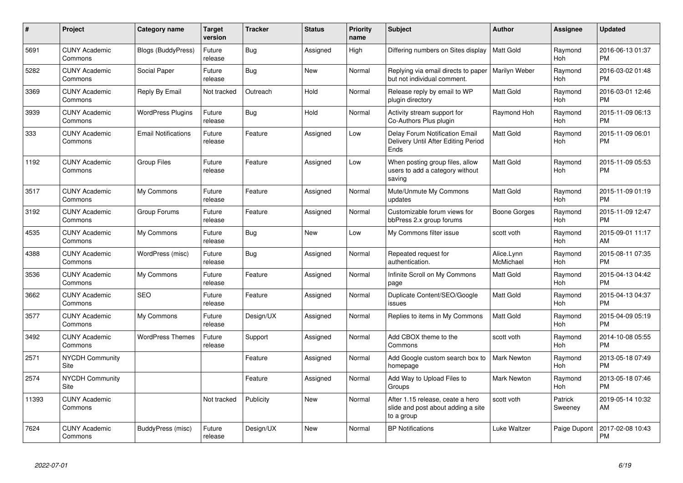| #     | <b>Project</b>                        | Category name              | <b>Target</b><br>version | <b>Tracker</b> | <b>Status</b> | <b>Priority</b><br>name | <b>Subject</b>                                                                       | <b>Author</b>           | Assignee           | <b>Updated</b>                |
|-------|---------------------------------------|----------------------------|--------------------------|----------------|---------------|-------------------------|--------------------------------------------------------------------------------------|-------------------------|--------------------|-------------------------------|
| 5691  | <b>CUNY Academic</b><br>Commons       | <b>Blogs (BuddyPress)</b>  | Future<br>release        | Bug            | Assigned      | High                    | Differing numbers on Sites display                                                   | <b>Matt Gold</b>        | Raymond<br>Hoh     | 2016-06-13 01:37<br><b>PM</b> |
| 5282  | <b>CUNY Academic</b><br>Commons       | Social Paper               | Future<br>release        | Bug            | <b>New</b>    | Normal                  | Replying via email directs to paper<br>but not individual comment.                   | Marilyn Weber           | Raymond<br>Hoh     | 2016-03-02 01:48<br><b>PM</b> |
| 3369  | <b>CUNY Academic</b><br>Commons       | Reply By Email             | Not tracked              | Outreach       | Hold          | Normal                  | Release reply by email to WP<br>plugin directory                                     | <b>Matt Gold</b>        | Raymond<br>Hoh     | 2016-03-01 12:46<br><b>PM</b> |
| 3939  | <b>CUNY Academic</b><br>Commons       | <b>WordPress Plugins</b>   | Future<br>release        | Bug            | Hold          | Normal                  | Activity stream support for<br>Co-Authors Plus plugin                                | Raymond Hoh             | Raymond<br>Hoh     | 2015-11-09 06:13<br><b>PM</b> |
| 333   | <b>CUNY Academic</b><br>Commons       | <b>Email Notifications</b> | Future<br>release        | Feature        | Assigned      | Low                     | Delay Forum Notification Email<br>Delivery Until After Editing Period<br>Ends        | <b>Matt Gold</b>        | Raymond<br>Hoh     | 2015-11-09 06:01<br><b>PM</b> |
| 1192  | <b>CUNY Academic</b><br>Commons       | Group Files                | Future<br>release        | Feature        | Assigned      | Low                     | When posting group files, allow<br>users to add a category without<br>saving         | <b>Matt Gold</b>        | Raymond<br>Hoh     | 2015-11-09 05:53<br><b>PM</b> |
| 3517  | <b>CUNY Academic</b><br>Commons       | My Commons                 | Future<br>release        | Feature        | Assigned      | Normal                  | Mute/Unmute My Commons<br>updates                                                    | <b>Matt Gold</b>        | Raymond<br>Hoh     | 2015-11-09 01:19<br><b>PM</b> |
| 3192  | <b>CUNY Academic</b><br>Commons       | Group Forums               | Future<br>release        | Feature        | Assigned      | Normal                  | Customizable forum views for<br>bbPress 2.x group forums                             | Boone Gorges            | Raymond<br>Hoh     | 2015-11-09 12:47<br><b>PM</b> |
| 4535  | <b>CUNY Academic</b><br>Commons       | My Commons                 | Future<br>release        | Bug            | New           | Low                     | My Commons filter issue                                                              | scott voth              | Raymond<br>Hoh     | 2015-09-01 11:17<br>AM        |
| 4388  | <b>CUNY Academic</b><br>Commons       | WordPress (misc)           | Future<br>release        | Bug            | Assigned      | Normal                  | Repeated request for<br>authentication.                                              | Alice.Lynn<br>McMichael | Raymond<br>Hoh     | 2015-08-11 07:35<br><b>PM</b> |
| 3536  | <b>CUNY Academic</b><br>Commons       | My Commons                 | Future<br>release        | Feature        | Assigned      | Normal                  | Infinite Scroll on My Commons<br>page                                                | <b>Matt Gold</b>        | Raymond<br>Hoh     | 2015-04-13 04:42<br><b>PM</b> |
| 3662  | <b>CUNY Academic</b><br>Commons       | <b>SEO</b>                 | Future<br>release        | Feature        | Assigned      | Normal                  | Duplicate Content/SEO/Google<br>issues                                               | <b>Matt Gold</b>        | Raymond<br>Hoh     | 2015-04-13 04:37<br><b>PM</b> |
| 3577  | <b>CUNY Academic</b><br>Commons       | My Commons                 | Future<br>release        | Design/UX      | Assigned      | Normal                  | Replies to items in My Commons                                                       | <b>Matt Gold</b>        | Raymond<br>Hoh     | 2015-04-09 05:19<br><b>PM</b> |
| 3492  | <b>CUNY Academic</b><br>Commons       | <b>WordPress Themes</b>    | Future<br>release        | Support        | Assigned      | Normal                  | Add CBOX theme to the<br>Commons                                                     | scott voth              | Raymond<br>Hoh     | 2014-10-08 05:55<br><b>PM</b> |
| 2571  | <b>NYCDH Community</b><br><b>Site</b> |                            |                          | Feature        | Assigned      | Normal                  | Add Google custom search box to<br>homepage                                          | <b>Mark Newton</b>      | Raymond<br>Hoh     | 2013-05-18 07:49<br><b>PM</b> |
| 2574  | NYCDH Community<br>Site               |                            |                          | Feature        | Assigned      | Normal                  | Add Way to Upload Files to<br>Groups                                                 | <b>Mark Newton</b>      | Raymond<br>Hoh     | 2013-05-18 07:46<br><b>PM</b> |
| 11393 | <b>CUNY Academic</b><br>Commons       |                            | Not tracked              | Publicity      | <b>New</b>    | Normal                  | After 1.15 release, ceate a hero<br>slide and post about adding a site<br>to a group | scott voth              | Patrick<br>Sweeney | 2019-05-14 10:32<br>AM        |
| 7624  | <b>CUNY Academic</b><br>Commons       | BuddyPress (misc)          | Future<br>release        | Design/UX      | New           | Normal                  | <b>BP</b> Notifications                                                              | Luke Waltzer            | Paige Dupont       | 2017-02-08 10:43<br><b>PM</b> |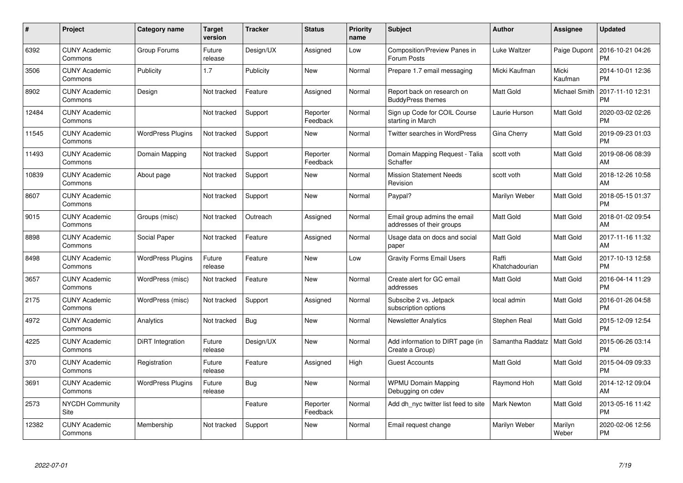| $\pmb{\#}$ | Project                         | <b>Category name</b>     | Target<br>version | <b>Tracker</b> | <b>Status</b>        | Priority<br>name | <b>Subject</b>                                            | <b>Author</b>           | <b>Assignee</b>      | <b>Updated</b>                |
|------------|---------------------------------|--------------------------|-------------------|----------------|----------------------|------------------|-----------------------------------------------------------|-------------------------|----------------------|-------------------------------|
| 6392       | <b>CUNY Academic</b><br>Commons | Group Forums             | Future<br>release | Design/UX      | Assigned             | Low              | <b>Composition/Preview Panes in</b><br>Forum Posts        | Luke Waltzer            | Paige Dupont         | 2016-10-21 04:26<br><b>PM</b> |
| 3506       | <b>CUNY Academic</b><br>Commons | Publicity                | 1.7               | Publicity      | <b>New</b>           | Normal           | Prepare 1.7 email messaging                               | Micki Kaufman           | Micki<br>Kaufman     | 2014-10-01 12:36<br><b>PM</b> |
| 8902       | <b>CUNY Academic</b><br>Commons | Design                   | Not tracked       | Feature        | Assigned             | Normal           | Report back on research on<br><b>BuddyPress themes</b>    | Matt Gold               | <b>Michael Smith</b> | 2017-11-10 12:31<br><b>PM</b> |
| 12484      | <b>CUNY Academic</b><br>Commons |                          | Not tracked       | Support        | Reporter<br>Feedback | Normal           | Sign up Code for COIL Course<br>starting in March         | Laurie Hurson           | Matt Gold            | 2020-03-02 02:26<br><b>PM</b> |
| 11545      | <b>CUNY Academic</b><br>Commons | <b>WordPress Plugins</b> | Not tracked       | Support        | <b>New</b>           | Normal           | Twitter searches in WordPress                             | Gina Cherry             | Matt Gold            | 2019-09-23 01:03<br><b>PM</b> |
| 11493      | <b>CUNY Academic</b><br>Commons | Domain Mapping           | Not tracked       | Support        | Reporter<br>Feedback | Normal           | Domain Mapping Request - Talia<br>Schaffer                | scott voth              | Matt Gold            | 2019-08-06 08:39<br>AM        |
| 10839      | <b>CUNY Academic</b><br>Commons | About page               | Not tracked       | Support        | <b>New</b>           | Normal           | <b>Mission Statement Needs</b><br>Revision                | scott voth              | Matt Gold            | 2018-12-26 10:58<br>AM        |
| 8607       | <b>CUNY Academic</b><br>Commons |                          | Not tracked       | Support        | <b>New</b>           | Normal           | Paypal?                                                   | Marilyn Weber           | Matt Gold            | 2018-05-15 01:37<br><b>PM</b> |
| 9015       | <b>CUNY Academic</b><br>Commons | Groups (misc)            | Not tracked       | Outreach       | Assigned             | Normal           | Email group admins the email<br>addresses of their groups | <b>Matt Gold</b>        | Matt Gold            | 2018-01-02 09:54<br>AM        |
| 8898       | <b>CUNY Academic</b><br>Commons | Social Paper             | Not tracked       | Feature        | Assigned             | Normal           | Usage data on docs and social<br>paper                    | <b>Matt Gold</b>        | Matt Gold            | 2017-11-16 11:32<br>AM        |
| 8498       | <b>CUNY Academic</b><br>Commons | <b>WordPress Plugins</b> | Future<br>release | Feature        | New                  | Low              | <b>Gravity Forms Email Users</b>                          | Raffi<br>Khatchadourian | Matt Gold            | 2017-10-13 12:58<br><b>PM</b> |
| 3657       | <b>CUNY Academic</b><br>Commons | WordPress (misc)         | Not tracked       | Feature        | New                  | Normal           | Create alert for GC email<br>addresses                    | Matt Gold               | Matt Gold            | 2016-04-14 11:29<br><b>PM</b> |
| 2175       | <b>CUNY Academic</b><br>Commons | WordPress (misc)         | Not tracked       | Support        | Assigned             | Normal           | Subscibe 2 vs. Jetpack<br>subscription options            | local admin             | Matt Gold            | 2016-01-26 04:58<br><b>PM</b> |
| 4972       | <b>CUNY Academic</b><br>Commons | Analytics                | Not tracked       | Bug            | New                  | Normal           | <b>Newsletter Analytics</b>                               | Stephen Real            | Matt Gold            | 2015-12-09 12:54<br><b>PM</b> |
| 4225       | <b>CUNY Academic</b><br>Commons | DiRT Integration         | Future<br>release | Design/UX      | New                  | Normal           | Add information to DIRT page (in<br>Create a Group)       | Samantha Raddatz        | Matt Gold            | 2015-06-26 03:14<br><b>PM</b> |
| 370        | <b>CUNY Academic</b><br>Commons | Registration             | Future<br>release | Feature        | Assigned             | High             | <b>Guest Accounts</b>                                     | Matt Gold               | Matt Gold            | 2015-04-09 09:33<br><b>PM</b> |
| 3691       | <b>CUNY Academic</b><br>Commons | <b>WordPress Plugins</b> | Future<br>release | Bug            | New                  | Normal           | <b>WPMU Domain Mapping</b><br>Debugging on cdev           | Raymond Hoh             | Matt Gold            | 2014-12-12 09:04<br>AM        |
| 2573       | <b>NYCDH Community</b><br>Site  |                          |                   | Feature        | Reporter<br>Feedback | Normal           | Add dh nyc twitter list feed to site                      | Mark Newton             | Matt Gold            | 2013-05-16 11:42<br><b>PM</b> |
| 12382      | <b>CUNY Academic</b><br>Commons | Membership               | Not tracked       | Support        | <b>New</b>           | Normal           | Email request change                                      | Marilyn Weber           | Marilyn<br>Weber     | 2020-02-06 12:56<br><b>PM</b> |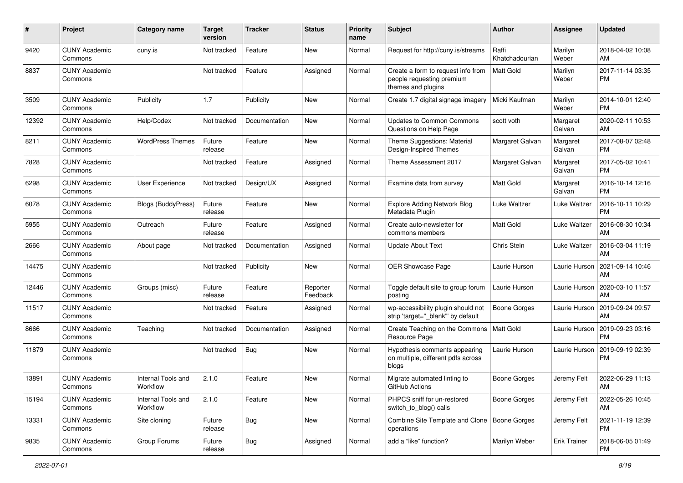| #     | Project                         | <b>Category name</b>           | <b>Target</b><br>version | <b>Tracker</b> | <b>Status</b>        | Priority<br>name | <b>Subject</b>                                                                        | Author                  | <b>Assignee</b>     | <b>Updated</b>                |
|-------|---------------------------------|--------------------------------|--------------------------|----------------|----------------------|------------------|---------------------------------------------------------------------------------------|-------------------------|---------------------|-------------------------------|
| 9420  | <b>CUNY Academic</b><br>Commons | cuny.is                        | Not tracked              | Feature        | New                  | Normal           | Request for http://cuny.is/streams                                                    | Raffi<br>Khatchadourian | Marilyn<br>Weber    | 2018-04-02 10:08<br>AM        |
| 8837  | <b>CUNY Academic</b><br>Commons |                                | Not tracked              | Feature        | Assigned             | Normal           | Create a form to request info from<br>people requesting premium<br>themes and plugins | <b>Matt Gold</b>        | Marilyn<br>Weber    | 2017-11-14 03:35<br><b>PM</b> |
| 3509  | <b>CUNY Academic</b><br>Commons | Publicity                      | 1.7                      | Publicity      | New                  | Normal           | Create 1.7 digital signage imagery                                                    | Micki Kaufman           | Marilyn<br>Weber    | 2014-10-01 12:40<br><b>PM</b> |
| 12392 | <b>CUNY Academic</b><br>Commons | Help/Codex                     | Not tracked              | Documentation  | New                  | Normal           | <b>Updates to Common Commons</b><br>Questions on Help Page                            | scott voth              | Margaret<br>Galvan  | 2020-02-11 10:53<br>AM        |
| 8211  | <b>CUNY Academic</b><br>Commons | <b>WordPress Themes</b>        | Future<br>release        | Feature        | <b>New</b>           | Normal           | Theme Suggestions: Material<br>Design-Inspired Themes                                 | Margaret Galvan         | Margaret<br>Galvan  | 2017-08-07 02:48<br><b>PM</b> |
| 7828  | <b>CUNY Academic</b><br>Commons |                                | Not tracked              | Feature        | Assigned             | Normal           | Theme Assessment 2017                                                                 | Margaret Galvan         | Margaret<br>Galvan  | 2017-05-02 10:41<br><b>PM</b> |
| 6298  | <b>CUNY Academic</b><br>Commons | User Experience                | Not tracked              | Design/UX      | Assigned             | Normal           | Examine data from survey                                                              | Matt Gold               | Margaret<br>Galvan  | 2016-10-14 12:16<br><b>PM</b> |
| 6078  | <b>CUNY Academic</b><br>Commons | Blogs (BuddyPress)             | Future<br>release        | Feature        | New                  | Normal           | <b>Explore Adding Network Blog</b><br>Metadata Plugin                                 | Luke Waltzer            | Luke Waltzer        | 2016-10-11 10:29<br><b>PM</b> |
| 5955  | <b>CUNY Academic</b><br>Commons | Outreach                       | Future<br>release        | Feature        | Assigned             | Normal           | Create auto-newsletter for<br>commons members                                         | Matt Gold               | Luke Waltzer        | 2016-08-30 10:34<br>AM        |
| 2666  | <b>CUNY Academic</b><br>Commons | About page                     | Not tracked              | Documentation  | Assigned             | Normal           | <b>Update About Text</b>                                                              | Chris Stein             | Luke Waltzer        | 2016-03-04 11:19<br>AM        |
| 14475 | <b>CUNY Academic</b><br>Commons |                                | Not tracked              | Publicity      | New                  | Normal           | OER Showcase Page                                                                     | Laurie Hurson           | Laurie Hurson       | 2021-09-14 10:46<br>AM        |
| 12446 | <b>CUNY Academic</b><br>Commons | Groups (misc)                  | Future<br>release        | Feature        | Reporter<br>Feedback | Normal           | Toggle default site to group forum<br>posting                                         | Laurie Hurson           | Laurie Hurson       | 2020-03-10 11:57<br>AM        |
| 11517 | <b>CUNY Academic</b><br>Commons |                                | Not tracked              | Feature        | Assigned             | Normal           | wp-accessibility plugin should not<br>strip 'target="_blank"' by default              | <b>Boone Gorges</b>     | Laurie Hurson       | 2019-09-24 09:57<br>AM        |
| 8666  | <b>CUNY Academic</b><br>Commons | Teaching                       | Not tracked              | Documentation  | Assigned             | Normal           | Create Teaching on the Commons<br>Resource Page                                       | Matt Gold               | Laurie Hurson       | 2019-09-23 03:16<br><b>PM</b> |
| 11879 | <b>CUNY Academic</b><br>Commons |                                | Not tracked              | Bug            | New                  | Normal           | Hypothesis comments appearing<br>on multiple, different pdfs across<br>blogs          | Laurie Hurson           | Laurie Hurson       | 2019-09-19 02:39<br><b>PM</b> |
| 13891 | <b>CUNY Academic</b><br>Commons | Internal Tools and<br>Workflow | 2.1.0                    | Feature        | <b>New</b>           | Normal           | Migrate automated linting to<br>GitHub Actions                                        | <b>Boone Gorges</b>     | Jeremy Felt         | 2022-06-29 11:13<br>AM        |
| 15194 | <b>CUNY Academic</b><br>Commons | Internal Tools and<br>Workflow | 2.1.0                    | Feature        | New                  | Normal           | PHPCS sniff for un-restored<br>switch_to_blog() calls                                 | Boone Gorges            | Jeremy Felt         | 2022-05-26 10:45<br>AM        |
| 13331 | <b>CUNY Academic</b><br>Commons | Site cloning                   | Future<br>release        | <b>Bug</b>     | New                  | Normal           | Combine Site Template and Clone   Boone Gorges<br>operations                          |                         | Jeremy Felt         | 2021-11-19 12:39<br><b>PM</b> |
| 9835  | <b>CUNY Academic</b><br>Commons | Group Forums                   | Future<br>release        | <b>Bug</b>     | Assigned             | Normal           | add a "like" function?                                                                | Marilyn Weber           | <b>Erik Trainer</b> | 2018-06-05 01:49<br><b>PM</b> |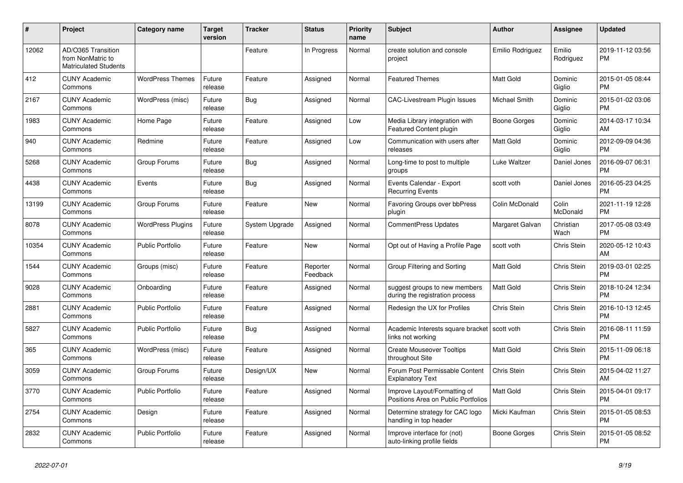| #     | Project                                                                 | Category name            | <b>Target</b><br>version | <b>Tracker</b> | <b>Status</b>        | <b>Priority</b><br>name | <b>Subject</b>                                                      | <b>Author</b>        | <b>Assignee</b>     | <b>Updated</b>                |
|-------|-------------------------------------------------------------------------|--------------------------|--------------------------|----------------|----------------------|-------------------------|---------------------------------------------------------------------|----------------------|---------------------|-------------------------------|
| 12062 | AD/O365 Transition<br>from NonMatric to<br><b>Matriculated Students</b> |                          |                          | Feature        | In Progress          | Normal                  | create solution and console<br>project                              | Emilio Rodriguez     | Emilio<br>Rodriguez | 2019-11-12 03:56<br><b>PM</b> |
| 412   | <b>CUNY Academic</b><br>Commons                                         | <b>WordPress Themes</b>  | Future<br>release        | Feature        | Assigned             | Normal                  | <b>Featured Themes</b>                                              | Matt Gold            | Dominic<br>Giglio   | 2015-01-05 08:44<br><b>PM</b> |
| 2167  | <b>CUNY Academic</b><br>Commons                                         | WordPress (misc)         | Future<br>release        | <b>Bug</b>     | Assigned             | Normal                  | <b>CAC-Livestream Plugin Issues</b>                                 | <b>Michael Smith</b> | Dominic<br>Giglio   | 2015-01-02 03:06<br><b>PM</b> |
| 1983  | <b>CUNY Academic</b><br>Commons                                         | Home Page                | Future<br>release        | Feature        | Assigned             | Low                     | Media Library integration with<br><b>Featured Content plugin</b>    | Boone Gorges         | Dominic<br>Giglio   | 2014-03-17 10:34<br>AM        |
| 940   | <b>CUNY Academic</b><br>Commons                                         | Redmine                  | Future<br>release        | Feature        | Assigned             | Low                     | Communication with users after<br>releases                          | <b>Matt Gold</b>     | Dominic<br>Giglio   | 2012-09-09 04:36<br><b>PM</b> |
| 5268  | <b>CUNY Academic</b><br>Commons                                         | Group Forums             | Future<br>release        | Bug            | Assigned             | Normal                  | Long-time to post to multiple<br>groups                             | Luke Waltzer         | Daniel Jones        | 2016-09-07 06:31<br><b>PM</b> |
| 4438  | <b>CUNY Academic</b><br>Commons                                         | Events                   | Future<br>release        | Bug            | Assigned             | Normal                  | Events Calendar - Export<br><b>Recurring Events</b>                 | scott voth           | Daniel Jones        | 2016-05-23 04:25<br><b>PM</b> |
| 13199 | <b>CUNY Academic</b><br>Commons                                         | Group Forums             | Future<br>release        | Feature        | New                  | Normal                  | Favoring Groups over bbPress<br>plugin                              | Colin McDonald       | Colin<br>McDonald   | 2021-11-19 12:28<br><b>PM</b> |
| 8078  | <b>CUNY Academic</b><br>Commons                                         | <b>WordPress Plugins</b> | Future<br>release        | System Upgrade | Assigned             | Normal                  | <b>CommentPress Updates</b>                                         | Margaret Galvan      | Christian<br>Wach   | 2017-05-08 03:49<br><b>PM</b> |
| 10354 | <b>CUNY Academic</b><br>Commons                                         | <b>Public Portfolio</b>  | Future<br>release        | Feature        | <b>New</b>           | Normal                  | Opt out of Having a Profile Page                                    | scott voth           | <b>Chris Stein</b>  | 2020-05-12 10:43<br>AM        |
| 1544  | <b>CUNY Academic</b><br>Commons                                         | Groups (misc)            | Future<br>release        | Feature        | Reporter<br>Feedback | Normal                  | Group Filtering and Sorting                                         | Matt Gold            | Chris Stein         | 2019-03-01 02:25<br><b>PM</b> |
| 9028  | <b>CUNY Academic</b><br>Commons                                         | Onboarding               | Future<br>release        | Feature        | Assigned             | Normal                  | suggest groups to new members<br>during the registration process    | <b>Matt Gold</b>     | Chris Stein         | 2018-10-24 12:34<br><b>PM</b> |
| 2881  | <b>CUNY Academic</b><br>Commons                                         | <b>Public Portfolio</b>  | Future<br>release        | Feature        | Assigned             | Normal                  | Redesign the UX for Profiles                                        | Chris Stein          | <b>Chris Stein</b>  | 2016-10-13 12:45<br><b>PM</b> |
| 5827  | <b>CUNY Academic</b><br>Commons                                         | <b>Public Portfolio</b>  | Future<br>release        | Bug            | Assigned             | Normal                  | Academic Interests square bracket<br>links not working              | scott voth           | Chris Stein         | 2016-08-11 11:59<br><b>PM</b> |
| 365   | <b>CUNY Academic</b><br>Commons                                         | WordPress (misc)         | Future<br>release        | Feature        | Assigned             | Normal                  | <b>Create Mouseover Tooltips</b><br>throughout Site                 | <b>Matt Gold</b>     | <b>Chris Stein</b>  | 2015-11-09 06:18<br><b>PM</b> |
| 3059  | <b>CUNY Academic</b><br>Commons                                         | Group Forums             | Future<br>release        | Design/UX      | New                  | Normal                  | Forum Post Permissable Content<br><b>Explanatory Text</b>           | Chris Stein          | Chris Stein         | 2015-04-02 11:27<br>AM        |
| 3770  | <b>CUNY Academic</b><br>Commons                                         | <b>Public Portfolio</b>  | Future<br>release        | Feature        | Assigned             | Normal                  | Improve Layout/Formatting of<br>Positions Area on Public Portfolios | <b>Matt Gold</b>     | Chris Stein         | 2015-04-01 09:17<br><b>PM</b> |
| 2754  | <b>CUNY Academic</b><br>Commons                                         | Design                   | Future<br>release        | Feature        | Assigned             | Normal                  | Determine strategy for CAC logo<br>handling in top header           | Micki Kaufman        | Chris Stein         | 2015-01-05 08:53<br><b>PM</b> |
| 2832  | <b>CUNY Academic</b><br>Commons                                         | Public Portfolio         | Future<br>release        | Feature        | Assigned             | Normal                  | Improve interface for (not)<br>auto-linking profile fields          | Boone Gorges         | Chris Stein         | 2015-01-05 08:52<br><b>PM</b> |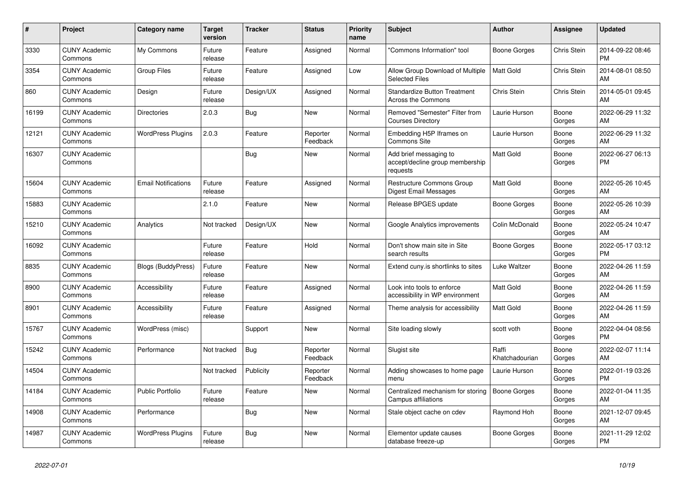| #     | <b>Project</b>                  | <b>Category name</b>       | <b>Target</b><br>version | <b>Tracker</b> | <b>Status</b>        | <b>Priority</b><br>name | <b>Subject</b>                                                        | <b>Author</b>           | <b>Assignee</b>    | <b>Updated</b>                |
|-------|---------------------------------|----------------------------|--------------------------|----------------|----------------------|-------------------------|-----------------------------------------------------------------------|-------------------------|--------------------|-------------------------------|
| 3330  | <b>CUNY Academic</b><br>Commons | My Commons                 | Future<br>release        | Feature        | Assigned             | Normal                  | "Commons Information" tool                                            | Boone Gorges            | Chris Stein        | 2014-09-22 08:46<br><b>PM</b> |
| 3354  | <b>CUNY Academic</b><br>Commons | <b>Group Files</b>         | Future<br>release        | Feature        | Assigned             | Low                     | Allow Group Download of Multiple<br><b>Selected Files</b>             | <b>Matt Gold</b>        | <b>Chris Stein</b> | 2014-08-01 08:50<br>AM        |
| 860   | <b>CUNY Academic</b><br>Commons | Design                     | Future<br>release        | Design/UX      | Assigned             | Normal                  | <b>Standardize Button Treatment</b><br><b>Across the Commons</b>      | Chris Stein             | Chris Stein        | 2014-05-01 09:45<br>AM        |
| 16199 | <b>CUNY Academic</b><br>Commons | <b>Directories</b>         | 2.0.3                    | <b>Bug</b>     | <b>New</b>           | Normal                  | Removed "Semester" Filter from<br><b>Courses Directory</b>            | Laurie Hurson           | Boone<br>Gorges    | 2022-06-29 11:32<br>AM        |
| 12121 | <b>CUNY Academic</b><br>Commons | <b>WordPress Plugins</b>   | 2.0.3                    | Feature        | Reporter<br>Feedback | Normal                  | Embedding H5P Iframes on<br>Commons Site                              | Laurie Hurson           | Boone<br>Gorges    | 2022-06-29 11:32<br>AM        |
| 16307 | <b>CUNY Academic</b><br>Commons |                            |                          | <b>Bug</b>     | New                  | Normal                  | Add brief messaging to<br>accept/decline group membership<br>requests | <b>Matt Gold</b>        | Boone<br>Gorges    | 2022-06-27 06:13<br><b>PM</b> |
| 15604 | <b>CUNY Academic</b><br>Commons | <b>Email Notifications</b> | Future<br>release        | Feature        | Assigned             | Normal                  | Restructure Commons Group<br>Digest Email Messages                    | <b>Matt Gold</b>        | Boone<br>Gorges    | 2022-05-26 10:45<br>AM        |
| 15883 | <b>CUNY Academic</b><br>Commons |                            | 2.1.0                    | Feature        | New                  | Normal                  | Release BPGES update                                                  | Boone Gorges            | Boone<br>Gorges    | 2022-05-26 10:39<br>AM        |
| 15210 | <b>CUNY Academic</b><br>Commons | Analytics                  | Not tracked              | Design/UX      | New                  | Normal                  | Google Analytics improvements                                         | Colin McDonald          | Boone<br>Gorges    | 2022-05-24 10:47<br>AM        |
| 16092 | <b>CUNY Academic</b><br>Commons |                            | Future<br>release        | Feature        | Hold                 | Normal                  | Don't show main site in Site<br>search results                        | Boone Gorges            | Boone<br>Gorges    | 2022-05-17 03:12<br><b>PM</b> |
| 8835  | <b>CUNY Academic</b><br>Commons | <b>Blogs (BuddyPress)</b>  | Future<br>release        | Feature        | New                  | Normal                  | Extend cuny is shortlinks to sites                                    | Luke Waltzer            | Boone<br>Gorges    | 2022-04-26 11:59<br>AM        |
| 8900  | <b>CUNY Academic</b><br>Commons | Accessibility              | Future<br>release        | Feature        | Assigned             | Normal                  | Look into tools to enforce<br>accessibility in WP environment         | Matt Gold               | Boone<br>Gorges    | 2022-04-26 11:59<br>AM        |
| 8901  | <b>CUNY Academic</b><br>Commons | Accessibility              | Future<br>release        | Feature        | Assigned             | Normal                  | Theme analysis for accessibility                                      | Matt Gold               | Boone<br>Gorges    | 2022-04-26 11:59<br>AM        |
| 15767 | <b>CUNY Academic</b><br>Commons | WordPress (misc)           |                          | Support        | <b>New</b>           | Normal                  | Site loading slowly                                                   | scott voth              | Boone<br>Gorges    | 2022-04-04 08:56<br><b>PM</b> |
| 15242 | <b>CUNY Academic</b><br>Commons | Performance                | Not tracked              | <b>Bug</b>     | Reporter<br>Feedback | Normal                  | Slugist site                                                          | Raffi<br>Khatchadourian | Boone<br>Gorges    | 2022-02-07 11:14<br>AM        |
| 14504 | <b>CUNY Academic</b><br>Commons |                            | Not tracked              | Publicity      | Reporter<br>Feedback | Normal                  | Adding showcases to home page<br>menu                                 | Laurie Hurson           | Boone<br>Gorges    | 2022-01-19 03:26<br><b>PM</b> |
| 14184 | <b>CUNY Academic</b><br>Commons | <b>Public Portfolio</b>    | Future<br>release        | Feature        | <b>New</b>           | Normal                  | Centralized mechanism for storing<br><b>Campus affiliations</b>       | <b>Boone Gorges</b>     | Boone<br>Gorges    | 2022-01-04 11:35<br>AM        |
| 14908 | <b>CUNY Academic</b><br>Commons | Performance                |                          | <b>Bug</b>     | <b>New</b>           | Normal                  | Stale object cache on cdev                                            | Raymond Hoh             | Boone<br>Gorges    | 2021-12-07 09:45<br>AM        |
| 14987 | <b>CUNY Academic</b><br>Commons | <b>WordPress Plugins</b>   | Future<br>release        | <b>Bug</b>     | <b>New</b>           | Normal                  | Elementor update causes<br>database freeze-up                         | Boone Gorges            | Boone<br>Gorges    | 2021-11-29 12:02<br>PM        |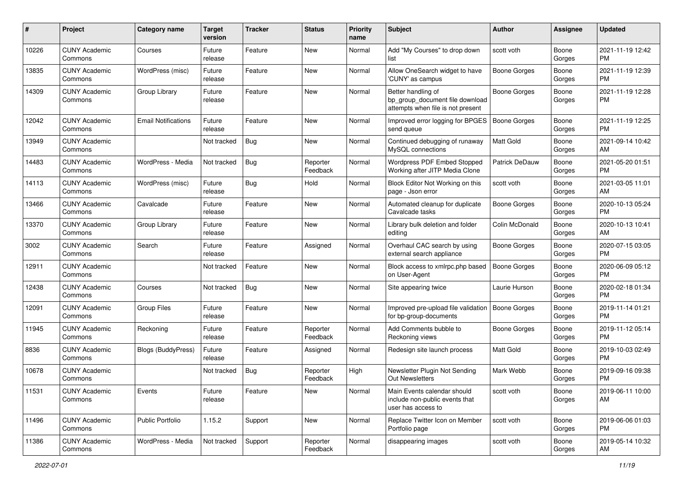| #     | Project                         | <b>Category name</b>       | <b>Target</b><br>version | <b>Tracker</b> | <b>Status</b>        | <b>Priority</b><br>name | <b>Subject</b>                                                                             | Author              | <b>Assignee</b> | <b>Updated</b>                |
|-------|---------------------------------|----------------------------|--------------------------|----------------|----------------------|-------------------------|--------------------------------------------------------------------------------------------|---------------------|-----------------|-------------------------------|
| 10226 | <b>CUNY Academic</b><br>Commons | Courses                    | Future<br>release        | Feature        | New                  | Normal                  | Add "My Courses" to drop down<br>list                                                      | scott voth          | Boone<br>Gorges | 2021-11-19 12:42<br>PM.       |
| 13835 | <b>CUNY Academic</b><br>Commons | WordPress (misc)           | Future<br>release        | Feature        | New                  | Normal                  | Allow OneSearch widget to have<br>'CUNY' as campus                                         | <b>Boone Gorges</b> | Boone<br>Gorges | 2021-11-19 12:39<br><b>PM</b> |
| 14309 | <b>CUNY Academic</b><br>Commons | Group Library              | Future<br>release        | Feature        | <b>New</b>           | Normal                  | Better handling of<br>bp_group_document file download<br>attempts when file is not present | <b>Boone Gorges</b> | Boone<br>Gorges | 2021-11-19 12:28<br><b>PM</b> |
| 12042 | <b>CUNY Academic</b><br>Commons | <b>Email Notifications</b> | Future<br>release        | Feature        | <b>New</b>           | Normal                  | Improved error logging for BPGES<br>send queue                                             | <b>Boone Gorges</b> | Boone<br>Gorges | 2021-11-19 12:25<br><b>PM</b> |
| 13949 | <b>CUNY Academic</b><br>Commons |                            | Not tracked              | Bug            | New                  | Normal                  | Continued debugging of runaway<br>MySQL connections                                        | <b>Matt Gold</b>    | Boone<br>Gorges | 2021-09-14 10:42<br>AM        |
| 14483 | <b>CUNY Academic</b><br>Commons | WordPress - Media          | Not tracked              | Bug            | Reporter<br>Feedback | Normal                  | Wordpress PDF Embed Stopped<br>Working after JITP Media Clone                              | Patrick DeDauw      | Boone<br>Gorges | 2021-05-20 01:51<br><b>PM</b> |
| 14113 | <b>CUNY Academic</b><br>Commons | WordPress (misc)           | Future<br>release        | Bug            | Hold                 | Normal                  | Block Editor Not Working on this<br>page - Json error                                      | scott voth          | Boone<br>Gorges | 2021-03-05 11:01<br>AM        |
| 13466 | <b>CUNY Academic</b><br>Commons | Cavalcade                  | Future<br>release        | Feature        | New                  | Normal                  | Automated cleanup for duplicate<br>Cavalcade tasks                                         | <b>Boone Gorges</b> | Boone<br>Gorges | 2020-10-13 05:24<br><b>PM</b> |
| 13370 | <b>CUNY Academic</b><br>Commons | Group Library              | Future<br>release        | Feature        | <b>New</b>           | Normal                  | Library bulk deletion and folder<br>editing                                                | Colin McDonald      | Boone<br>Gorges | 2020-10-13 10:41<br>AM        |
| 3002  | <b>CUNY Academic</b><br>Commons | Search                     | Future<br>release        | Feature        | Assigned             | Normal                  | Overhaul CAC search by using<br>external search appliance                                  | Boone Gorges        | Boone<br>Gorges | 2020-07-15 03:05<br><b>PM</b> |
| 12911 | <b>CUNY Academic</b><br>Commons |                            | Not tracked              | Feature        | New                  | Normal                  | Block access to xmlrpc.php based<br>on User-Agent                                          | <b>Boone Gorges</b> | Boone<br>Gorges | 2020-06-09 05:12<br><b>PM</b> |
| 12438 | <b>CUNY Academic</b><br>Commons | Courses                    | Not tracked              | Bug            | New                  | Normal                  | Site appearing twice                                                                       | Laurie Hurson       | Boone<br>Gorges | 2020-02-18 01:34<br><b>PM</b> |
| 12091 | <b>CUNY Academic</b><br>Commons | <b>Group Files</b>         | Future<br>release        | Feature        | <b>New</b>           | Normal                  | Improved pre-upload file validation<br>for bp-group-documents                              | Boone Gorges        | Boone<br>Gorges | 2019-11-14 01:21<br><b>PM</b> |
| 11945 | <b>CUNY Academic</b><br>Commons | Reckoning                  | Future<br>release        | Feature        | Reporter<br>Feedback | Normal                  | Add Comments bubble to<br>Reckoning views                                                  | <b>Boone Gorges</b> | Boone<br>Gorges | 2019-11-12 05:14<br><b>PM</b> |
| 8836  | <b>CUNY Academic</b><br>Commons | <b>Blogs (BuddyPress)</b>  | Future<br>release        | Feature        | Assigned             | Normal                  | Redesign site launch process                                                               | <b>Matt Gold</b>    | Boone<br>Gorges | 2019-10-03 02:49<br><b>PM</b> |
| 10678 | <b>CUNY Academic</b><br>Commons |                            | Not tracked              | <b>Bug</b>     | Reporter<br>Feedback | High                    | Newsletter Plugin Not Sending<br>Out Newsletters                                           | Mark Webb           | Boone<br>Gorges | 2019-09-16 09:38<br><b>PM</b> |
| 11531 | <b>CUNY Academic</b><br>Commons | Events                     | Future<br>release        | Feature        | New                  | Normal                  | Main Events calendar should<br>include non-public events that<br>user has access to        | scott voth          | Boone<br>Gorges | 2019-06-11 10:00<br>AM        |
| 11496 | <b>CUNY Academic</b><br>Commons | Public Portfolio           | 1.15.2                   | Support        | New                  | Normal                  | Replace Twitter Icon on Member<br>Portfolio page                                           | scott voth          | Boone<br>Gorges | 2019-06-06 01:03<br><b>PM</b> |
| 11386 | <b>CUNY Academic</b><br>Commons | WordPress - Media          | Not tracked              | Support        | Reporter<br>Feedback | Normal                  | disappearing images                                                                        | scott voth          | Boone<br>Gorges | 2019-05-14 10:32<br>AM        |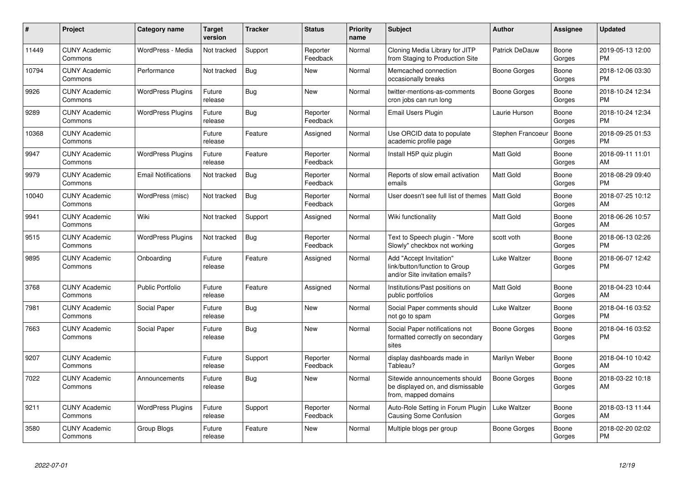| $\pmb{\#}$ | Project                         | <b>Category name</b>       | <b>Target</b><br>version | <b>Tracker</b> | <b>Status</b>        | <b>Priority</b><br>name | <b>Subject</b>                                                                             | <b>Author</b>         | Assignee        | <b>Updated</b>                |
|------------|---------------------------------|----------------------------|--------------------------|----------------|----------------------|-------------------------|--------------------------------------------------------------------------------------------|-----------------------|-----------------|-------------------------------|
| 11449      | <b>CUNY Academic</b><br>Commons | WordPress - Media          | Not tracked              | Support        | Reporter<br>Feedback | Normal                  | Cloning Media Library for JITP<br>from Staging to Production Site                          | <b>Patrick DeDauw</b> | Boone<br>Gorges | 2019-05-13 12:00<br><b>PM</b> |
| 10794      | <b>CUNY Academic</b><br>Commons | Performance                | Not tracked              | Bug            | <b>New</b>           | Normal                  | Memcached connection<br>occasionally breaks                                                | Boone Gorges          | Boone<br>Gorges | 2018-12-06 03:30<br><b>PM</b> |
| 9926       | <b>CUNY Academic</b><br>Commons | <b>WordPress Plugins</b>   | Future<br>release        | Bug            | New                  | Normal                  | twitter-mentions-as-comments<br>cron jobs can run long                                     | Boone Gorges          | Boone<br>Gorges | 2018-10-24 12:34<br><b>PM</b> |
| 9289       | <b>CUNY Academic</b><br>Commons | <b>WordPress Plugins</b>   | Future<br>release        | Bug            | Reporter<br>Feedback | Normal                  | Email Users Plugin                                                                         | Laurie Hurson         | Boone<br>Gorges | 2018-10-24 12:34<br><b>PM</b> |
| 10368      | <b>CUNY Academic</b><br>Commons |                            | Future<br>release        | Feature        | Assigned             | Normal                  | Use ORCID data to populate<br>academic profile page                                        | Stephen Francoeur     | Boone<br>Gorges | 2018-09-25 01:53<br><b>PM</b> |
| 9947       | <b>CUNY Academic</b><br>Commons | <b>WordPress Plugins</b>   | Future<br>release        | Feature        | Reporter<br>Feedback | Normal                  | Install H5P quiz plugin                                                                    | Matt Gold             | Boone<br>Gorges | 2018-09-11 11:01<br>AM        |
| 9979       | <b>CUNY Academic</b><br>Commons | <b>Email Notifications</b> | Not tracked              | <b>Bug</b>     | Reporter<br>Feedback | Normal                  | Reports of slow email activation<br>emails                                                 | <b>Matt Gold</b>      | Boone<br>Gorges | 2018-08-29 09:40<br><b>PM</b> |
| 10040      | <b>CUNY Academic</b><br>Commons | WordPress (misc)           | Not tracked              | <b>Bug</b>     | Reporter<br>Feedback | Normal                  | User doesn't see full list of themes                                                       | Matt Gold             | Boone<br>Gorges | 2018-07-25 10:12<br>AM        |
| 9941       | <b>CUNY Academic</b><br>Commons | Wiki                       | Not tracked              | Support        | Assigned             | Normal                  | Wiki functionality                                                                         | <b>Matt Gold</b>      | Boone<br>Gorges | 2018-06-26 10:57<br>AM        |
| 9515       | <b>CUNY Academic</b><br>Commons | <b>WordPress Plugins</b>   | Not tracked              | <b>Bug</b>     | Reporter<br>Feedback | Normal                  | Text to Speech plugin - "More<br>Slowly" checkbox not working                              | scott voth            | Boone<br>Gorges | 2018-06-13 02:26<br><b>PM</b> |
| 9895       | <b>CUNY Academic</b><br>Commons | Onboarding                 | Future<br>release        | Feature        | Assigned             | Normal                  | Add "Accept Invitation"<br>link/button/function to Group<br>and/or Site invitation emails? | Luke Waltzer          | Boone<br>Gorges | 2018-06-07 12:42<br><b>PM</b> |
| 3768       | <b>CUNY Academic</b><br>Commons | <b>Public Portfolio</b>    | Future<br>release        | Feature        | Assigned             | Normal                  | Institutions/Past positions on<br>public portfolios                                        | <b>Matt Gold</b>      | Boone<br>Gorges | 2018-04-23 10:44<br>AM        |
| 7981       | <b>CUNY Academic</b><br>Commons | Social Paper               | Future<br>release        | Bug            | <b>New</b>           | Normal                  | Social Paper comments should<br>not go to spam                                             | Luke Waltzer          | Boone<br>Gorges | 2018-04-16 03:52<br><b>PM</b> |
| 7663       | <b>CUNY Academic</b><br>Commons | Social Paper               | Future<br>release        | Bug            | <b>New</b>           | Normal                  | Social Paper notifications not<br>formatted correctly on secondary<br>sites                | Boone Gorges          | Boone<br>Gorges | 2018-04-16 03:52<br><b>PM</b> |
| 9207       | <b>CUNY Academic</b><br>Commons |                            | Future<br>release        | Support        | Reporter<br>Feedback | Normal                  | display dashboards made in<br>Tableau?                                                     | Marilyn Weber         | Boone<br>Gorges | 2018-04-10 10:42<br>AM        |
| 7022       | <b>CUNY Academic</b><br>Commons | Announcements              | Future<br>release        | <b>Bug</b>     | <b>New</b>           | Normal                  | Sitewide announcements should<br>be displayed on, and dismissable<br>from, mapped domains  | Boone Gorges          | Boone<br>Gorges | 2018-03-22 10:18<br>AM        |
| 9211       | <b>CUNY Academic</b><br>Commons | <b>WordPress Plugins</b>   | Future<br>release        | Support        | Reporter<br>Feedback | Normal                  | Auto-Role Setting in Forum Plugin<br>Causing Some Confusion                                | Luke Waltzer          | Boone<br>Gorges | 2018-03-13 11:44<br>AM        |
| 3580       | <b>CUNY Academic</b><br>Commons | Group Blogs                | Future<br>release        | Feature        | <b>New</b>           | Normal                  | Multiple blogs per group                                                                   | Boone Gorges          | Boone<br>Gorges | 2018-02-20 02:02<br><b>PM</b> |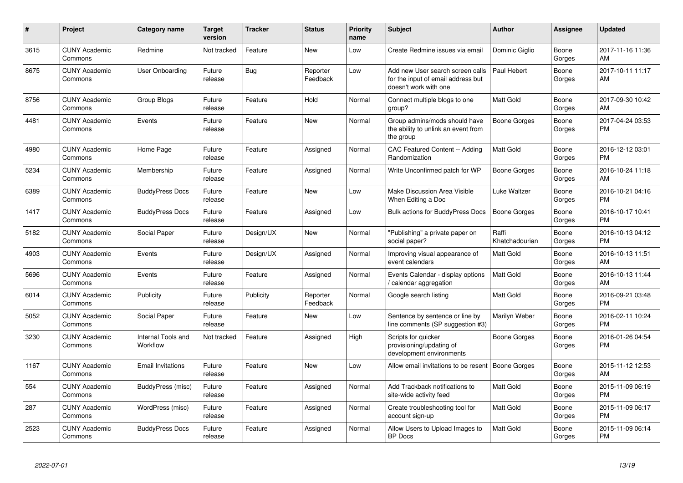| #    | Project                         | <b>Category name</b>           | <b>Target</b><br>version | <b>Tracker</b> | <b>Status</b>        | <b>Priority</b><br>name | <b>Subject</b>                                                                                  | <b>Author</b>           | <b>Assignee</b> | <b>Updated</b>                |
|------|---------------------------------|--------------------------------|--------------------------|----------------|----------------------|-------------------------|-------------------------------------------------------------------------------------------------|-------------------------|-----------------|-------------------------------|
| 3615 | <b>CUNY Academic</b><br>Commons | Redmine                        | Not tracked              | Feature        | <b>New</b>           | Low                     | Create Redmine issues via email                                                                 | Dominic Giglio          | Boone<br>Gorges | 2017-11-16 11:36<br>AM        |
| 8675 | <b>CUNY Academic</b><br>Commons | User Onboarding                | Future<br>release        | <b>Bug</b>     | Reporter<br>Feedback | Low                     | Add new User search screen calls<br>for the input of email address but<br>doesn't work with one | Paul Hebert             | Boone<br>Gorges | 2017-10-11 11:17<br>AM        |
| 8756 | <b>CUNY Academic</b><br>Commons | Group Blogs                    | Future<br>release        | Feature        | Hold                 | Normal                  | Connect multiple blogs to one<br>group?                                                         | <b>Matt Gold</b>        | Boone<br>Gorges | 2017-09-30 10:42<br>AM        |
| 4481 | <b>CUNY Academic</b><br>Commons | Events                         | Future<br>release        | Feature        | New                  | Normal                  | Group admins/mods should have<br>the ability to unlink an event from<br>the group               | <b>Boone Gorges</b>     | Boone<br>Gorges | 2017-04-24 03:53<br><b>PM</b> |
| 4980 | <b>CUNY Academic</b><br>Commons | Home Page                      | Future<br>release        | Feature        | Assigned             | Normal                  | CAC Featured Content -- Adding<br>Randomization                                                 | <b>Matt Gold</b>        | Boone<br>Gorges | 2016-12-12 03:01<br><b>PM</b> |
| 5234 | <b>CUNY Academic</b><br>Commons | Membership                     | Future<br>release        | Feature        | Assigned             | Normal                  | Write Unconfirmed patch for WP                                                                  | Boone Gorges            | Boone<br>Gorges | 2016-10-24 11:18<br>AM        |
| 6389 | <b>CUNY Academic</b><br>Commons | <b>BuddyPress Docs</b>         | Future<br>release        | Feature        | New                  | Low                     | Make Discussion Area Visible<br>When Editing a Doc                                              | Luke Waltzer            | Boone<br>Gorges | 2016-10-21 04:16<br><b>PM</b> |
| 1417 | <b>CUNY Academic</b><br>Commons | <b>BuddyPress Docs</b>         | Future<br>release        | Feature        | Assigned             | Low                     | <b>Bulk actions for BuddyPress Docs</b>                                                         | Boone Gorges            | Boone<br>Gorges | 2016-10-17 10:41<br><b>PM</b> |
| 5182 | <b>CUNY Academic</b><br>Commons | Social Paper                   | Future<br>release        | Design/UX      | New                  | Normal                  | "Publishing" a private paper on<br>social paper?                                                | Raffi<br>Khatchadourian | Boone<br>Gorges | 2016-10-13 04:12<br><b>PM</b> |
| 4903 | <b>CUNY Academic</b><br>Commons | Events                         | Future<br>release        | Design/UX      | Assigned             | Normal                  | Improving visual appearance of<br>event calendars                                               | Matt Gold               | Boone<br>Gorges | 2016-10-13 11:51<br>AM        |
| 5696 | <b>CUNY Academic</b><br>Commons | Events                         | Future<br>release        | Feature        | Assigned             | Normal                  | Events Calendar - display options<br>/ calendar aggregation                                     | <b>Matt Gold</b>        | Boone<br>Gorges | 2016-10-13 11:44<br>AM        |
| 6014 | <b>CUNY Academic</b><br>Commons | Publicity                      | Future<br>release        | Publicity      | Reporter<br>Feedback | Normal                  | Google search listing                                                                           | <b>Matt Gold</b>        | Boone<br>Gorges | 2016-09-21 03:48<br><b>PM</b> |
| 5052 | <b>CUNY Academic</b><br>Commons | Social Paper                   | Future<br>release        | Feature        | New                  | Low                     | Sentence by sentence or line by<br>line comments (SP suggestion #3)                             | Marilyn Weber           | Boone<br>Gorges | 2016-02-11 10:24<br><b>PM</b> |
| 3230 | <b>CUNY Academic</b><br>Commons | Internal Tools and<br>Workflow | Not tracked              | Feature        | Assigned             | High                    | Scripts for quicker<br>provisioning/updating of<br>development environments                     | Boone Gorges            | Boone<br>Gorges | 2016-01-26 04:54<br><b>PM</b> |
| 1167 | <b>CUNY Academic</b><br>Commons | <b>Email Invitations</b>       | Future<br>release        | Feature        | <b>New</b>           | Low                     | Allow email invitations to be resent                                                            | Boone Gorges            | Boone<br>Gorges | 2015-11-12 12:53<br>AM        |
| 554  | <b>CUNY Academic</b><br>Commons | BuddyPress (misc)              | Future<br>release        | Feature        | Assigned             | Normal                  | Add Trackback notifications to<br>site-wide activity feed                                       | <b>Matt Gold</b>        | Boone<br>Gorges | 2015-11-09 06:19<br><b>PM</b> |
| 287  | <b>CUNY Academic</b><br>Commons | WordPress (misc)               | Future<br>release        | Feature        | Assigned             | Normal                  | Create troubleshooting tool for<br>account sign-up                                              | <b>Matt Gold</b>        | Boone<br>Gorges | 2015-11-09 06:17<br><b>PM</b> |
| 2523 | <b>CUNY Academic</b><br>Commons | <b>BuddyPress Docs</b>         | Future<br>release        | Feature        | Assigned             | Normal                  | Allow Users to Upload Images to<br><b>BP</b> Docs                                               | <b>Matt Gold</b>        | Boone<br>Gorges | 2015-11-09 06:14<br><b>PM</b> |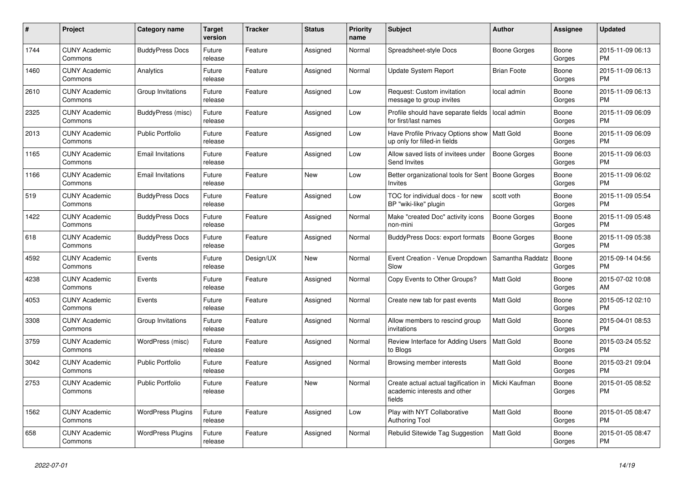| #    | Project                         | Category name            | <b>Target</b><br>version | Tracker   | <b>Status</b> | <b>Priority</b><br>name | <b>Subject</b>                                                                 | <b>Author</b>       | Assignee        | <b>Updated</b>                |
|------|---------------------------------|--------------------------|--------------------------|-----------|---------------|-------------------------|--------------------------------------------------------------------------------|---------------------|-----------------|-------------------------------|
| 1744 | <b>CUNY Academic</b><br>Commons | <b>BuddyPress Docs</b>   | Future<br>release        | Feature   | Assigned      | Normal                  | Spreadsheet-style Docs                                                         | Boone Gorges        | Boone<br>Gorges | 2015-11-09 06:13<br><b>PM</b> |
| 1460 | <b>CUNY Academic</b><br>Commons | Analytics                | Future<br>release        | Feature   | Assigned      | Normal                  | Update System Report                                                           | <b>Brian Foote</b>  | Boone<br>Gorges | 2015-11-09 06:13<br><b>PM</b> |
| 2610 | <b>CUNY Academic</b><br>Commons | Group Invitations        | Future<br>release        | Feature   | Assigned      | Low                     | Request: Custom invitation<br>message to group invites                         | local admin         | Boone<br>Gorges | 2015-11-09 06:13<br><b>PM</b> |
| 2325 | <b>CUNY Academic</b><br>Commons | BuddyPress (misc)        | Future<br>release        | Feature   | Assigned      | Low                     | Profile should have separate fields<br>for first/last names                    | local admin         | Boone<br>Gorges | 2015-11-09 06:09<br><b>PM</b> |
| 2013 | <b>CUNY Academic</b><br>Commons | <b>Public Portfolio</b>  | Future<br>release        | Feature   | Assigned      | Low                     | Have Profile Privacy Options show   Matt Gold<br>up only for filled-in fields  |                     | Boone<br>Gorges | 2015-11-09 06:09<br><b>PM</b> |
| 1165 | <b>CUNY Academic</b><br>Commons | <b>Email Invitations</b> | Future<br>release        | Feature   | Assigned      | Low                     | Allow saved lists of invitees under<br><b>Send Invites</b>                     | <b>Boone Gorges</b> | Boone<br>Gorges | 2015-11-09 06:03<br><b>PM</b> |
| 1166 | <b>CUNY Academic</b><br>Commons | <b>Email Invitations</b> | Future<br>release        | Feature   | New           | Low                     | Better organizational tools for Sent<br><b>Invites</b>                         | Boone Gorges        | Boone<br>Gorges | 2015-11-09 06:02<br><b>PM</b> |
| 519  | <b>CUNY Academic</b><br>Commons | <b>BuddyPress Docs</b>   | Future<br>release        | Feature   | Assigned      | Low                     | TOC for individual docs - for new<br>BP "wiki-like" plugin                     | scott voth          | Boone<br>Gorges | 2015-11-09 05:54<br><b>PM</b> |
| 1422 | <b>CUNY Academic</b><br>Commons | <b>BuddyPress Docs</b>   | Future<br>release        | Feature   | Assigned      | Normal                  | Make "created Doc" activity icons<br>non-mini                                  | Boone Gorges        | Boone<br>Gorges | 2015-11-09 05:48<br><b>PM</b> |
| 618  | <b>CUNY Academic</b><br>Commons | <b>BuddyPress Docs</b>   | Future<br>release        | Feature   | Assigned      | Normal                  | <b>BuddyPress Docs: export formats</b>                                         | Boone Gorges        | Boone<br>Gorges | 2015-11-09 05:38<br><b>PM</b> |
| 4592 | <b>CUNY Academic</b><br>Commons | Events                   | Future<br>release        | Design/UX | <b>New</b>    | Normal                  | Event Creation - Venue Dropdown<br>Slow                                        | Samantha Raddatz    | Boone<br>Gorges | 2015-09-14 04:56<br><b>PM</b> |
| 4238 | <b>CUNY Academic</b><br>Commons | Events                   | Future<br>release        | Feature   | Assigned      | Normal                  | Copy Events to Other Groups?                                                   | <b>Matt Gold</b>    | Boone<br>Gorges | 2015-07-02 10:08<br>AM        |
| 4053 | <b>CUNY Academic</b><br>Commons | Events                   | Future<br>release        | Feature   | Assigned      | Normal                  | Create new tab for past events                                                 | <b>Matt Gold</b>    | Boone<br>Gorges | 2015-05-12 02:10<br><b>PM</b> |
| 3308 | <b>CUNY Academic</b><br>Commons | Group Invitations        | Future<br>release        | Feature   | Assigned      | Normal                  | Allow members to rescind group<br>invitations                                  | <b>Matt Gold</b>    | Boone<br>Gorges | 2015-04-01 08:53<br><b>PM</b> |
| 3759 | <b>CUNY Academic</b><br>Commons | WordPress (misc)         | Future<br>release        | Feature   | Assigned      | Normal                  | Review Interface for Adding Users<br>to Blogs                                  | <b>Matt Gold</b>    | Boone<br>Gorges | 2015-03-24 05:52<br><b>PM</b> |
| 3042 | <b>CUNY Academic</b><br>Commons | <b>Public Portfolio</b>  | Future<br>release        | Feature   | Assigned      | Normal                  | Browsing member interests                                                      | Matt Gold           | Boone<br>Gorges | 2015-03-21 09:04<br><b>PM</b> |
| 2753 | <b>CUNY Academic</b><br>Commons | <b>Public Portfolio</b>  | Future<br>release        | Feature   | <b>New</b>    | Normal                  | Create actual actual tagification in<br>academic interests and other<br>fields | Micki Kaufman       | Boone<br>Gorges | 2015-01-05 08:52<br><b>PM</b> |
| 1562 | <b>CUNY Academic</b><br>Commons | <b>WordPress Plugins</b> | Future<br>release        | Feature   | Assigned      | Low                     | Play with NYT Collaborative<br><b>Authoring Tool</b>                           | <b>Matt Gold</b>    | Boone<br>Gorges | 2015-01-05 08:47<br><b>PM</b> |
| 658  | <b>CUNY Academic</b><br>Commons | <b>WordPress Plugins</b> | Future<br>release        | Feature   | Assigned      | Normal                  | Rebulid Sitewide Tag Suggestion                                                | <b>Matt Gold</b>    | Boone<br>Gorges | 2015-01-05 08:47<br><b>PM</b> |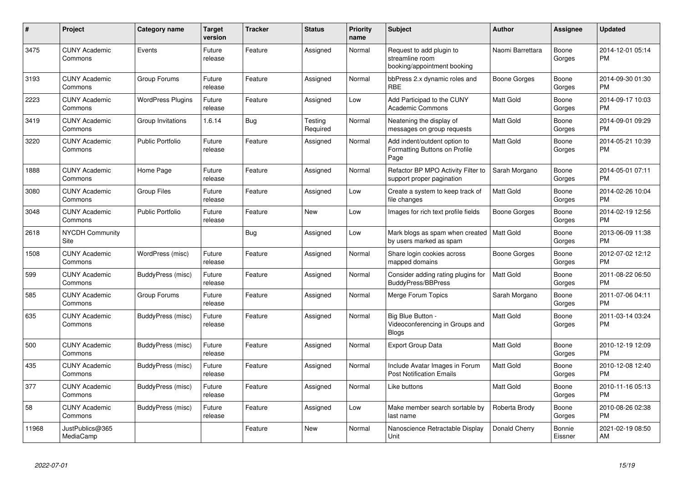| #     | Project                         | <b>Category name</b>     | <b>Target</b><br>version | <b>Tracker</b> | <b>Status</b>       | <b>Priority</b><br>name | <b>Subject</b>                                                             | <b>Author</b>    | Assignee          | <b>Updated</b>                |
|-------|---------------------------------|--------------------------|--------------------------|----------------|---------------------|-------------------------|----------------------------------------------------------------------------|------------------|-------------------|-------------------------------|
| 3475  | <b>CUNY Academic</b><br>Commons | Events                   | Future<br>release        | Feature        | Assigned            | Normal                  | Request to add plugin to<br>streamline room<br>booking/appointment booking | Naomi Barrettara | Boone<br>Gorges   | 2014-12-01 05:14<br><b>PM</b> |
| 3193  | <b>CUNY Academic</b><br>Commons | Group Forums             | Future<br>release        | Feature        | Assigned            | Normal                  | bbPress 2.x dynamic roles and<br><b>RBE</b>                                | Boone Gorges     | Boone<br>Gorges   | 2014-09-30 01:30<br><b>PM</b> |
| 2223  | <b>CUNY Academic</b><br>Commons | <b>WordPress Plugins</b> | Future<br>release        | Feature        | Assigned            | Low                     | Add Participad to the CUNY<br><b>Academic Commons</b>                      | Matt Gold        | Boone<br>Gorges   | 2014-09-17 10:03<br><b>PM</b> |
| 3419  | <b>CUNY Academic</b><br>Commons | Group Invitations        | 1.6.14                   | Bug            | Testing<br>Required | Normal                  | Neatening the display of<br>messages on group requests                     | <b>Matt Gold</b> | Boone<br>Gorges   | 2014-09-01 09:29<br><b>PM</b> |
| 3220  | <b>CUNY Academic</b><br>Commons | <b>Public Portfolio</b>  | Future<br>release        | Feature        | Assigned            | Normal                  | Add indent/outdent option to<br>Formatting Buttons on Profile<br>Page      | <b>Matt Gold</b> | Boone<br>Gorges   | 2014-05-21 10:39<br><b>PM</b> |
| 1888  | <b>CUNY Academic</b><br>Commons | Home Page                | Future<br>release        | Feature        | Assigned            | Normal                  | Refactor BP MPO Activity Filter to<br>support proper pagination            | Sarah Morgano    | Boone<br>Gorges   | 2014-05-01 07:11<br><b>PM</b> |
| 3080  | <b>CUNY Academic</b><br>Commons | <b>Group Files</b>       | Future<br>release        | Feature        | Assigned            | Low                     | Create a system to keep track of<br>file changes                           | <b>Matt Gold</b> | Boone<br>Gorges   | 2014-02-26 10:04<br><b>PM</b> |
| 3048  | <b>CUNY Academic</b><br>Commons | <b>Public Portfolio</b>  | Future<br>release        | Feature        | <b>New</b>          | Low                     | Images for rich text profile fields                                        | Boone Gorges     | Boone<br>Gorges   | 2014-02-19 12:56<br><b>PM</b> |
| 2618  | <b>NYCDH Community</b><br>Site  |                          |                          | Bug            | Assigned            | Low                     | Mark blogs as spam when created<br>by users marked as spam                 | Matt Gold        | Boone<br>Gorges   | 2013-06-09 11:38<br><b>PM</b> |
| 1508  | <b>CUNY Academic</b><br>Commons | WordPress (misc)         | Future<br>release        | Feature        | Assigned            | Normal                  | Share login cookies across<br>mapped domains                               | Boone Gorges     | Boone<br>Gorges   | 2012-07-02 12:12<br><b>PM</b> |
| 599   | <b>CUNY Academic</b><br>Commons | BuddyPress (misc)        | Future<br>release        | Feature        | Assigned            | Normal                  | Consider adding rating plugins for<br><b>BuddyPress/BBPress</b>            | <b>Matt Gold</b> | Boone<br>Gorges   | 2011-08-22 06:50<br><b>PM</b> |
| 585   | <b>CUNY Academic</b><br>Commons | Group Forums             | Future<br>release        | Feature        | Assigned            | Normal                  | Merge Forum Topics                                                         | Sarah Morgano    | Boone<br>Gorges   | 2011-07-06 04:11<br><b>PM</b> |
| 635   | <b>CUNY Academic</b><br>Commons | BuddyPress (misc)        | Future<br>release        | Feature        | Assigned            | Normal                  | Big Blue Button -<br>Videoconferencing in Groups and<br><b>Blogs</b>       | <b>Matt Gold</b> | Boone<br>Gorges   | 2011-03-14 03:24<br><b>PM</b> |
| 500   | <b>CUNY Academic</b><br>Commons | BuddyPress (misc)        | Future<br>release        | Feature        | Assigned            | Normal                  | Export Group Data                                                          | <b>Matt Gold</b> | Boone<br>Gorges   | 2010-12-19 12:09<br><b>PM</b> |
| 435   | <b>CUNY Academic</b><br>Commons | BuddyPress (misc)        | Future<br>release        | Feature        | Assigned            | Normal                  | Include Avatar Images in Forum<br><b>Post Notification Emails</b>          | <b>Matt Gold</b> | Boone<br>Gorges   | 2010-12-08 12:40<br><b>PM</b> |
| 377   | <b>CUNY Academic</b><br>Commons | BuddyPress (misc)        | Future<br>release        | Feature        | Assigned            | Normal                  | Like buttons                                                               | <b>Matt Gold</b> | Boone<br>Gorges   | 2010-11-16 05:13<br><b>PM</b> |
| 58    | <b>CUNY Academic</b><br>Commons | BuddyPress (misc)        | Future<br>release        | Feature        | Assigned            | Low                     | Make member search sortable by<br>last name                                | Roberta Brody    | Boone<br>Gorges   | 2010-08-26 02:38<br><b>PM</b> |
| 11968 | JustPublics@365<br>MediaCamp    |                          |                          | Feature        | New                 | Normal                  | Nanoscience Retractable Display<br>Unit                                    | Donald Cherry    | Bonnie<br>Eissner | 2021-02-19 08:50<br>AM        |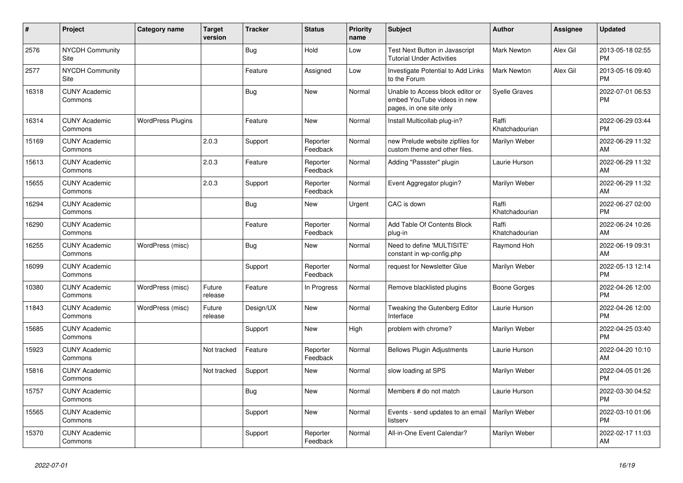| $\vert$ # | Project                         | Category name            | <b>Target</b><br>version | <b>Tracker</b> | <b>Status</b>        | <b>Priority</b><br>name | <b>Subject</b>                                                                             | <b>Author</b>           | Assignee | <b>Updated</b>                |
|-----------|---------------------------------|--------------------------|--------------------------|----------------|----------------------|-------------------------|--------------------------------------------------------------------------------------------|-------------------------|----------|-------------------------------|
| 2576      | <b>NYCDH Community</b><br>Site  |                          |                          | <b>Bug</b>     | Hold                 | Low                     | Test Next Button in Javascript<br><b>Tutorial Under Activities</b>                         | <b>Mark Newton</b>      | Alex Gil | 2013-05-18 02:55<br><b>PM</b> |
| 2577      | <b>NYCDH Community</b><br>Site  |                          |                          | Feature        | Assigned             | Low                     | Investigate Potential to Add Links<br>to the Forum                                         | <b>Mark Newton</b>      | Alex Gil | 2013-05-16 09:40<br><b>PM</b> |
| 16318     | <b>CUNY Academic</b><br>Commons |                          |                          | Bug            | <b>New</b>           | Normal                  | Unable to Access block editor or<br>embed YouTube videos in new<br>pages, in one site only | <b>Syelle Graves</b>    |          | 2022-07-01 06:53<br><b>PM</b> |
| 16314     | <b>CUNY Academic</b><br>Commons | <b>WordPress Plugins</b> |                          | Feature        | <b>New</b>           | Normal                  | Install Multicollab plug-in?                                                               | Raffi<br>Khatchadourian |          | 2022-06-29 03:44<br><b>PM</b> |
| 15169     | <b>CUNY Academic</b><br>Commons |                          | 2.0.3                    | Support        | Reporter<br>Feedback | Normal                  | new Prelude website zipfiles for<br>custom theme and other files.                          | Marilyn Weber           |          | 2022-06-29 11:32<br>AM        |
| 15613     | <b>CUNY Academic</b><br>Commons |                          | 2.0.3                    | Feature        | Reporter<br>Feedback | Normal                  | Adding "Passster" plugin                                                                   | Laurie Hurson           |          | 2022-06-29 11:32<br>AM        |
| 15655     | <b>CUNY Academic</b><br>Commons |                          | 2.0.3                    | Support        | Reporter<br>Feedback | Normal                  | Event Aggregator plugin?                                                                   | Marilyn Weber           |          | 2022-06-29 11:32<br>AM        |
| 16294     | <b>CUNY Academic</b><br>Commons |                          |                          | Bug            | <b>New</b>           | Urgent                  | CAC is down                                                                                | Raffi<br>Khatchadourian |          | 2022-06-27 02:00<br><b>PM</b> |
| 16290     | <b>CUNY Academic</b><br>Commons |                          |                          | Feature        | Reporter<br>Feedback | Normal                  | Add Table Of Contents Block<br>plug-in                                                     | Raffi<br>Khatchadourian |          | 2022-06-24 10:26<br>AM        |
| 16255     | <b>CUNY Academic</b><br>Commons | WordPress (misc)         |                          | Bug            | <b>New</b>           | Normal                  | Need to define 'MULTISITE'<br>constant in wp-config.php                                    | Raymond Hoh             |          | 2022-06-19 09:31<br>AM        |
| 16099     | <b>CUNY Academic</b><br>Commons |                          |                          | Support        | Reporter<br>Feedback | Normal                  | request for Newsletter Glue                                                                | Marilyn Weber           |          | 2022-05-13 12:14<br><b>PM</b> |
| 10380     | <b>CUNY Academic</b><br>Commons | WordPress (misc)         | Future<br>release        | Feature        | In Progress          | Normal                  | Remove blacklisted plugins                                                                 | <b>Boone Gorges</b>     |          | 2022-04-26 12:00<br><b>PM</b> |
| 11843     | <b>CUNY Academic</b><br>Commons | WordPress (misc)         | Future<br>release        | Design/UX      | <b>New</b>           | Normal                  | Tweaking the Gutenberg Editor<br>Interface                                                 | Laurie Hurson           |          | 2022-04-26 12:00<br><b>PM</b> |
| 15685     | <b>CUNY Academic</b><br>Commons |                          |                          | Support        | <b>New</b>           | High                    | problem with chrome?                                                                       | Marilyn Weber           |          | 2022-04-25 03:40<br><b>PM</b> |
| 15923     | <b>CUNY Academic</b><br>Commons |                          | Not tracked              | Feature        | Reporter<br>Feedback | Normal                  | <b>Bellows Plugin Adjustments</b>                                                          | Laurie Hurson           |          | 2022-04-20 10:10<br>AM        |
| 15816     | <b>CUNY Academic</b><br>Commons |                          | Not tracked              | Support        | <b>New</b>           | Normal                  | slow loading at SPS                                                                        | Marilyn Weber           |          | 2022-04-05 01:26<br><b>PM</b> |
| 15757     | <b>CUNY Academic</b><br>Commons |                          |                          | Bug            | <b>New</b>           | Normal                  | Members # do not match                                                                     | Laurie Hurson           |          | 2022-03-30 04:52<br><b>PM</b> |
| 15565     | <b>CUNY Academic</b><br>Commons |                          |                          | Support        | <b>New</b>           | Normal                  | Events - send updates to an email<br>listserv                                              | Marilyn Weber           |          | 2022-03-10 01:06<br><b>PM</b> |
| 15370     | <b>CUNY Academic</b><br>Commons |                          |                          | Support        | Reporter<br>Feedback | Normal                  | All-in-One Event Calendar?                                                                 | Marilyn Weber           |          | 2022-02-17 11:03<br>AM        |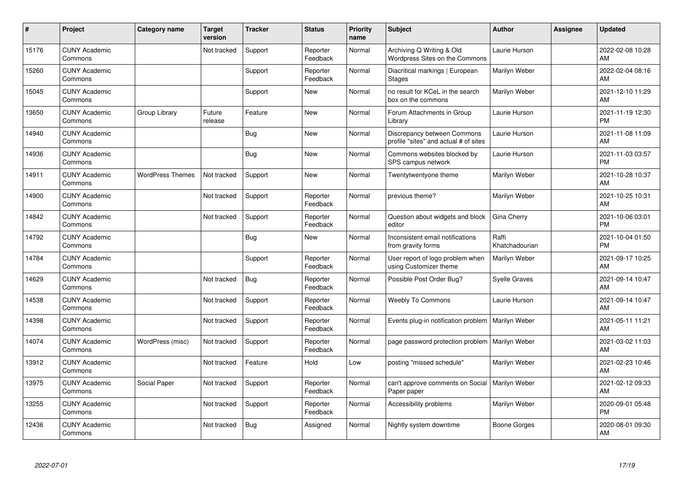| #     | Project                         | <b>Category name</b>    | <b>Target</b><br>version | <b>Tracker</b> | <b>Status</b>        | <b>Priority</b><br>name | <b>Subject</b>                                                       | <b>Author</b>           | <b>Assignee</b> | <b>Updated</b>                |
|-------|---------------------------------|-------------------------|--------------------------|----------------|----------------------|-------------------------|----------------------------------------------------------------------|-------------------------|-----------------|-------------------------------|
| 15176 | <b>CUNY Academic</b><br>Commons |                         | Not tracked              | Support        | Reporter<br>Feedback | Normal                  | Archiving Q Writing & Old<br>Wordpress Sites on the Commons          | Laurie Hurson           |                 | 2022-02-08 10:28<br>AM        |
| 15260 | <b>CUNY Academic</b><br>Commons |                         |                          | Support        | Reporter<br>Feedback | Normal                  | Diacritical markings   European<br><b>Stages</b>                     | Marilyn Weber           |                 | 2022-02-04 08:16<br>AM        |
| 15045 | <b>CUNY Academic</b><br>Commons |                         |                          | Support        | <b>New</b>           | Normal                  | no result for KCeL in the search<br>box on the commons               | Marilyn Weber           |                 | 2021-12-10 11:29<br>AM        |
| 13650 | <b>CUNY Academic</b><br>Commons | Group Library           | Future<br>release        | Feature        | <b>New</b>           | Normal                  | Forum Attachments in Group<br>Library                                | Laurie Hurson           |                 | 2021-11-19 12:30<br><b>PM</b> |
| 14940 | <b>CUNY Academic</b><br>Commons |                         |                          | <b>Bug</b>     | <b>New</b>           | Normal                  | Discrepancy between Commons<br>profile "sites" and actual # of sites | Laurie Hurson           |                 | 2021-11-08 11:09<br>AM        |
| 14936 | <b>CUNY Academic</b><br>Commons |                         |                          | Bug            | <b>New</b>           | Normal                  | Commons websites blocked by<br>SPS campus network                    | Laurie Hurson           |                 | 2021-11-03 03:57<br><b>PM</b> |
| 14911 | <b>CUNY Academic</b><br>Commons | <b>WordPress Themes</b> | Not tracked              | Support        | <b>New</b>           | Normal                  | Twentytwentyone theme                                                | Marilyn Weber           |                 | 2021-10-28 10:37<br>AM        |
| 14900 | <b>CUNY Academic</b><br>Commons |                         | Not tracked              | Support        | Reporter<br>Feedback | Normal                  | previous theme?                                                      | Marilyn Weber           |                 | 2021-10-25 10:31<br>AM        |
| 14842 | <b>CUNY Academic</b><br>Commons |                         | Not tracked              | Support        | Reporter<br>Feedback | Normal                  | Question about widgets and block<br>editor                           | Gina Cherry             |                 | 2021-10-06 03:01<br><b>PM</b> |
| 14792 | <b>CUNY Academic</b><br>Commons |                         |                          | <b>Bug</b>     | <b>New</b>           | Normal                  | Inconsistent email notifications<br>from gravity forms               | Raffi<br>Khatchadourian |                 | 2021-10-04 01:50<br><b>PM</b> |
| 14784 | <b>CUNY Academic</b><br>Commons |                         |                          | Support        | Reporter<br>Feedback | Normal                  | User report of logo problem when<br>using Customizer theme           | Marilyn Weber           |                 | 2021-09-17 10:25<br>AM        |
| 14629 | <b>CUNY Academic</b><br>Commons |                         | Not tracked              | Bug            | Reporter<br>Feedback | Normal                  | Possible Post Order Bug?                                             | <b>Syelle Graves</b>    |                 | 2021-09-14 10:47<br>AM        |
| 14538 | <b>CUNY Academic</b><br>Commons |                         | Not tracked              | Support        | Reporter<br>Feedback | Normal                  | <b>Weebly To Commons</b>                                             | Laurie Hurson           |                 | 2021-09-14 10:47<br>AM        |
| 14398 | <b>CUNY Academic</b><br>Commons |                         | Not tracked              | Support        | Reporter<br>Feedback | Normal                  | Events plug-in notification problem                                  | Marilyn Weber           |                 | 2021-05-11 11:21<br>AM        |
| 14074 | <b>CUNY Academic</b><br>Commons | WordPress (misc)        | Not tracked              | Support        | Reporter<br>Feedback | Normal                  | page password protection problem                                     | Marilyn Weber           |                 | 2021-03-02 11:03<br>AM        |
| 13912 | <b>CUNY Academic</b><br>Commons |                         | Not tracked              | Feature        | Hold                 | Low                     | posting "missed schedule"                                            | Marilyn Weber           |                 | 2021-02-23 10:46<br>AM        |
| 13975 | <b>CUNY Academic</b><br>Commons | Social Paper            | Not tracked              | Support        | Reporter<br>Feedback | Normal                  | can't approve comments on Social<br>Paper paper                      | Marilyn Weber           |                 | 2021-02-12 09:33<br>AM        |
| 13255 | <b>CUNY Academic</b><br>Commons |                         | Not tracked              | Support        | Reporter<br>Feedback | Normal                  | Accessibility problems                                               | Marilyn Weber           |                 | 2020-09-01 05:48<br><b>PM</b> |
| 12436 | <b>CUNY Academic</b><br>Commons |                         | Not tracked              | <b>Bug</b>     | Assigned             | Normal                  | Nightly system downtime                                              | Boone Gorges            |                 | 2020-08-01 09:30<br>AM        |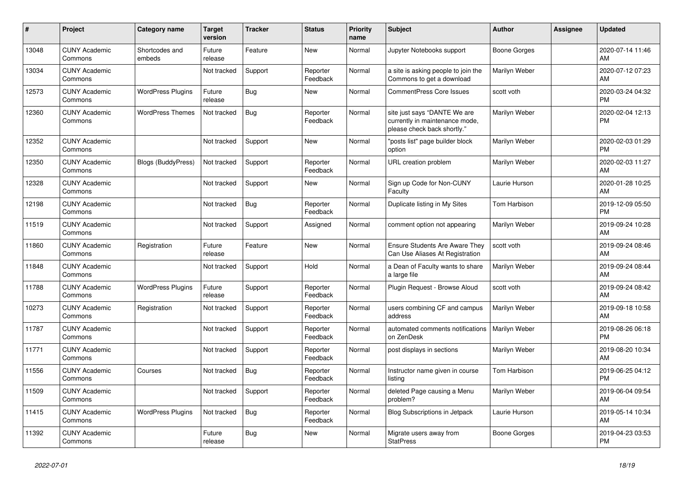| #     | <b>Project</b>                  | Category name             | <b>Target</b><br>version | <b>Tracker</b> | <b>Status</b>        | <b>Priority</b><br>name | <b>Subject</b>                                                                                | <b>Author</b>       | Assignee | <b>Updated</b>                |
|-------|---------------------------------|---------------------------|--------------------------|----------------|----------------------|-------------------------|-----------------------------------------------------------------------------------------------|---------------------|----------|-------------------------------|
| 13048 | <b>CUNY Academic</b><br>Commons | Shortcodes and<br>embeds  | Future<br>release        | Feature        | <b>New</b>           | Normal                  | Jupyter Notebooks support                                                                     | Boone Gorges        |          | 2020-07-14 11:46<br>AM        |
| 13034 | <b>CUNY Academic</b><br>Commons |                           | Not tracked              | Support        | Reporter<br>Feedback | Normal                  | a site is asking people to join the<br>Commons to get a download                              | Marilyn Weber       |          | 2020-07-12 07:23<br>AM        |
| 12573 | <b>CUNY Academic</b><br>Commons | <b>WordPress Plugins</b>  | Future<br>release        | Bug            | New                  | Normal                  | <b>CommentPress Core Issues</b>                                                               | scott voth          |          | 2020-03-24 04:32<br><b>PM</b> |
| 12360 | <b>CUNY Academic</b><br>Commons | <b>WordPress Themes</b>   | Not tracked              | <b>Bug</b>     | Reporter<br>Feedback | Normal                  | site just says "DANTE We are<br>currently in maintenance mode,<br>please check back shortly." | Marilyn Weber       |          | 2020-02-04 12:13<br><b>PM</b> |
| 12352 | <b>CUNY Academic</b><br>Commons |                           | Not tracked              | Support        | New                  | Normal                  | "posts list" page builder block<br>option                                                     | Marilyn Weber       |          | 2020-02-03 01:29<br><b>PM</b> |
| 12350 | <b>CUNY Academic</b><br>Commons | <b>Blogs (BuddyPress)</b> | Not tracked              | Support        | Reporter<br>Feedback | Normal                  | URL creation problem                                                                          | Marilyn Weber       |          | 2020-02-03 11:27<br>AM        |
| 12328 | <b>CUNY Academic</b><br>Commons |                           | Not tracked              | Support        | <b>New</b>           | Normal                  | Sign up Code for Non-CUNY<br>Faculty                                                          | Laurie Hurson       |          | 2020-01-28 10:25<br>AM        |
| 12198 | <b>CUNY Academic</b><br>Commons |                           | Not tracked              | Bug            | Reporter<br>Feedback | Normal                  | Duplicate listing in My Sites                                                                 | Tom Harbison        |          | 2019-12-09 05:50<br><b>PM</b> |
| 11519 | <b>CUNY Academic</b><br>Commons |                           | Not tracked              | Support        | Assigned             | Normal                  | comment option not appearing                                                                  | Marilyn Weber       |          | 2019-09-24 10:28<br>AM        |
| 11860 | <b>CUNY Academic</b><br>Commons | Registration              | Future<br>release        | Feature        | <b>New</b>           | Normal                  | <b>Ensure Students Are Aware They</b><br>Can Use Aliases At Registration                      | scott voth          |          | 2019-09-24 08:46<br>AM        |
| 11848 | <b>CUNY Academic</b><br>Commons |                           | Not tracked              | Support        | Hold                 | Normal                  | a Dean of Faculty wants to share<br>a large file                                              | Marilyn Weber       |          | 2019-09-24 08:44<br>AM        |
| 11788 | <b>CUNY Academic</b><br>Commons | <b>WordPress Plugins</b>  | Future<br>release        | Support        | Reporter<br>Feedback | Normal                  | Plugin Request - Browse Aloud                                                                 | scott voth          |          | 2019-09-24 08:42<br>AM        |
| 10273 | <b>CUNY Academic</b><br>Commons | Registration              | Not tracked              | Support        | Reporter<br>Feedback | Normal                  | users combining CF and campus<br>address                                                      | Marilyn Weber       |          | 2019-09-18 10:58<br>AM        |
| 11787 | <b>CUNY Academic</b><br>Commons |                           | Not tracked              | Support        | Reporter<br>Feedback | Normal                  | automated comments notifications<br>on ZenDesk                                                | Marilyn Weber       |          | 2019-08-26 06:18<br><b>PM</b> |
| 11771 | <b>CUNY Academic</b><br>Commons |                           | Not tracked              | Support        | Reporter<br>Feedback | Normal                  | post displays in sections                                                                     | Marilyn Weber       |          | 2019-08-20 10:34<br>AM        |
| 11556 | <b>CUNY Academic</b><br>Commons | Courses                   | Not tracked              | Bug            | Reporter<br>Feedback | Normal                  | Instructor name given in course<br>listina                                                    | <b>Tom Harbison</b> |          | 2019-06-25 04:12<br><b>PM</b> |
| 11509 | <b>CUNY Academic</b><br>Commons |                           | Not tracked              | Support        | Reporter<br>Feedback | Normal                  | deleted Page causing a Menu<br>problem?                                                       | Marilyn Weber       |          | 2019-06-04 09:54<br>AM        |
| 11415 | <b>CUNY Academic</b><br>Commons | <b>WordPress Plugins</b>  | Not tracked              | Bug            | Reporter<br>Feedback | Normal                  | <b>Blog Subscriptions in Jetpack</b>                                                          | Laurie Hurson       |          | 2019-05-14 10:34<br>AM        |
| 11392 | <b>CUNY Academic</b><br>Commons |                           | Future<br>release        | <b>Bug</b>     | <b>New</b>           | Normal                  | Migrate users away from<br><b>StatPress</b>                                                   | Boone Gorges        |          | 2019-04-23 03:53<br><b>PM</b> |